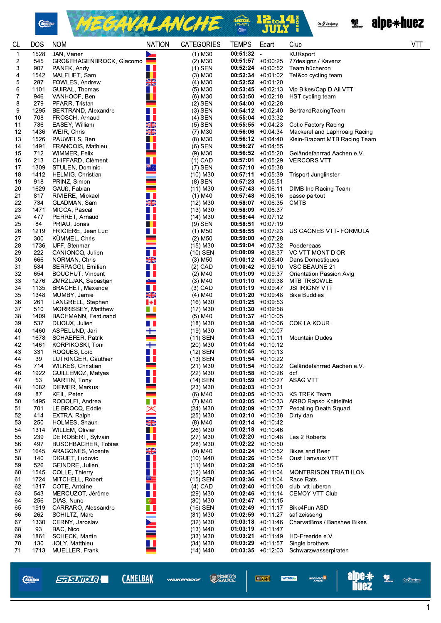



Oz / Vaujany<br>Alfredorius Gasso comand



| $00:51:32 -$<br>JAN, Vaner<br>$\mathbf 1$<br>۰<br>545<br>GROßEHAGENBROCK, Giacomo<br>$(2)$ M30<br>$00:51:57$ +0:00:25<br>77 designz / Kavenz<br>2<br>907<br>m<br>$00:52:24 +0:00:52$<br>3<br>PANEK, Andy<br>$(1)$ SEN<br>Team bûcheron<br>П.<br>$00:52:34$ +0:01.02<br>4<br>1542<br>MALFLIET, Sam<br>$(3)$ M30<br>Tel&co cycling team<br>X<br>5<br>287<br>FOWLES, Andrew<br>$(4)$ M <sub>30</sub><br>$00:52:52 + 0:01:20$<br>6<br>1101<br>GUIRAL, Thomas<br>$(5)$ M30<br>$00:53:45 +0:02:13$<br>Vip Bikes/Cap D Ail VTT<br>7<br>VANHOOF, Ben<br>$00:53:50 +0:02:18$<br>HST cycling team<br>946<br>$(6)$ M <sub>30</sub><br>8<br>PFARR, Tristan<br><u>e a</u><br>$(2)$ SEN<br>$00:54:00$ +0:02:28<br>279<br>9<br>$(3)$ SEN<br>$00:54:12 +0:02:40$<br>BertrandRacingTeam<br>1295<br><b>BERTRAND, Alexandre</b><br>H J<br>10<br>708<br>FROSCH, Arnaud<br>$(4)$ SEN<br>$00:55:04$ +0:03:32<br>XK<br>736<br>$(5)$ SEN<br>11<br>EASEY, William<br>$00:55:55 + 0:04.23$<br>Cotic Factory Racing<br>NK<br>AR<br>12<br>1436<br>WEIR, Chris<br>$00:56:06$ +0:04:34<br>Mackerel and Laphroaig Racing<br>$(7)$ M <sub>30</sub><br>H<br>13<br>1526<br>$00:56:12 +0:04:40$<br>PAUWELS, Ben<br>$(8)$ M30<br>Klein-Brabant MTB Racing Team<br>O I<br>$(6)$ SEN<br>$00:56:27$ +0:04:55<br>14<br>1491<br>FRANCOIS, Mathieu<br>712<br>15<br>WIMMER, Felix<br>$(9)$ M30<br>$00:56:52 +0:05:20$<br>Geländefahrrad Aachen e.V.<br>H I<br>16<br>213<br>CHIFFARD, Clément<br>$(1)$ CAD<br><b>VERCORS VTT</b><br>$00:57:01$ +0:05:29<br>17<br>1309<br>$(7)$ SEN<br>$00:57:10 + 0:05:38$<br>STULEN, Dominic<br>1412<br>HELMIG, Christian<br>$00:57:11 + 0:05.39$<br>18<br>$(10)$ M30<br><b>Trisport Junglinster</b><br>$(8)$ SEN<br>19<br>918<br>PRINZ, Simon<br>$00:57:23 +0:05:51$<br>1629<br>$00:57:43 +0:06:11$<br>DIMB Inc Racing Team<br>20<br>GAUß, Fabian<br>$(11)$ M30<br>H<br>21<br>817<br>$(1)$ M40<br>RIVIERE, Mickael<br>$00:57:48$ +0:06:16<br>passe partout<br>$\frac{N}{2}$<br>22<br>734<br>(12) M30<br>$00:58:07$ +0:06:35<br><b>CMTB</b><br>GLADMAN, Sam<br>H.<br>23<br>1471<br>MICCA, Pascal<br>$(13)$ M30<br>$00:58:09$ +0:06:37<br>п.<br>24<br>477<br>PERRET, Arnaud<br>$(14)$ M30<br>$00:58:44 +0:07:12$<br>п<br>25<br>84<br>$(9)$ SEN<br>$00:58:51 + 0:07:19$<br>PRIAU, Jonas<br>n l<br>26<br>1219<br>FRIGIERE, Jean Luc<br>$(1)$ M <sub>50</sub><br>$00:58:55 + 0:07:23$<br>US CAGNES VTT- FORMULA<br>27<br>300<br><b>KUMMEL, Chris</b><br>$(2)$ M <sub>50</sub><br>$00:59:00$ +0:07:28<br>28<br>1736<br>IJFF, Stenmar<br>$(15)$ M30<br>$00:59:04$ +0:07:32<br>Poederbaas<br>H<br>$(10)$ SEN<br>29<br>222<br>CANIONCQ, Julien<br>$01:00:09$ +0:08:37<br>VC VTT MONT D'OR<br>X<br>30<br>666<br>$01:00:12$ +0:08:40<br>NORMAN, Chris<br>$(3)$ M50<br>Dans Domestiques<br>534<br>$(2)$ CAD<br>31<br>SERPAGGI, Emilien<br>$01:00:42$ +0:09:10<br>VSC BEAUNE 21<br>32<br>n a<br>$01:01:09$ +0:09:37<br>654<br>BOUCHUT, Vincent<br>$(2)$ M40<br>Orientation Passion Avig<br>$01:01:10 + 0:09:38$<br>33<br>1276<br>ZMRZLJAK, Sebastjan<br>$(3)$ M40<br><b>MTB TRBOWLE</b><br>$\frac{8}{2}$<br>H.<br>$(3)$ CAD<br>$01:01:19$ +0:09:47<br>JSI IRIGNY VTT<br>34<br>1135<br>BRACHET, Maxence<br>X<br>35<br>1348<br>$(4)$ M40<br>$01:01:20$ +0:09:48<br><b>Bike Buddies</b><br>MUMBY, Jamie<br>36<br>H<br>261<br>LANGRELL, Stephen<br>$(16)$ M30<br>$01:01:25$ +0:09:53<br>37<br>510<br>MORRISSEY, Matthew<br>. .<br>(17) M30<br>$01:01:30 +0:09:58$<br>38<br>1409<br><b>BACHMANN, Ferdinand</b><br>(5) M40<br>$01:01:37$ +0:10:05<br>n p<br>39<br>537<br>DIJOUX, Julien<br><b>COK LA KOUR</b><br>$(18)$ M30<br>$01:01:38$ +0:10:06<br>┿<br>1460<br>ASPELUND, Jari<br>$(19)$ M30<br>$01:01:39 +0:10:07$<br>40<br>$\overline{\phantom{0}}$<br>$(11)$ SEN<br>41<br>1678<br>SCHAEFER, Patrik<br>$01:01:43$ +0:10:11<br>Mountain Dudes<br>┿<br>42<br>1461<br>KORPIKOSKI, Toni<br>$(20)$ M30<br>$01:01:44$ +0:10:12<br>n l<br>43<br>331<br>ROQUES, Loïc<br>(12) SEN<br>$01:01:45 +0:10:13$<br>$(13)$ SEN<br>$01:01:54$ +0:10:22<br>44<br>39<br>LUTRINGER, Gauthier<br>45<br>714<br>WILKES, Christian<br>$(21)$ M30<br>01:01:54 + 0:10:22 Geländefahrrad Aachen e.V.<br>$(22)$ M30<br>1922<br>GUILLEMOZ, Matyas<br>H I<br>$01:01:58$ +0:10:26<br>46<br>dcf<br>. .<br>53<br><b>ASAG VTT</b><br>47<br>MARTIN, Tony<br>(14) SEN<br>$01:01:59$ +0:10:27<br>1082<br>DIEMER, Markus<br>$(23)$ M30<br>$01:02:03$ +0:10:31<br>48<br>$(6)$ M40<br>$01:02:05$ +0:10:33<br><b>KS TREK Team</b><br>49<br>87<br><b>KEIL, Peter</b><br>RODOLFI, Andrea<br>ш<br>$(7)$ M40<br>$01:02:05$ +0:10:33<br>ARBO Rapso Knittelfeld<br>50<br>1495<br>$01:02:09$ +0:10:37<br>51<br>701<br>LE BROCQ, Eddie<br>$\times$<br>$(24)$ M30<br>Pedalling Death Squad<br>52<br>414<br>EXTRA, Ralph<br>$(25)$ M30<br>$01:02:10 + 0:10:38$<br>Dirty dan<br><b>NK</b><br>53<br>250<br>HOLMES, Shaun<br>$(8)$ M40<br>$01:02:14$ +0:10:42<br>п<br>(26) M30<br>$01:02:18$ +0:10:46<br>54<br>1314<br>WILLEM, Olivier<br>H.<br>55<br>239<br>DE ROBERT, Sylvain<br>$(27)$ M30<br>$01:02:20$ +0:10:48<br>Les 2 Roberts<br>$(28)$ M30<br>$01:02:22 +0:10:50$<br>56<br>497<br><b>BUSCHBACHER, Tobias</b><br>$\frac{N}{2}$<br>57<br><b>Bikes and Beer</b><br>1645<br>ARAGONES, Vicente<br>(9) M40<br>$01:02:24$ +0:10.52<br>H I<br>58<br>140<br>DIGUET, Ludovic<br>$(10)$ M40<br>$01:02:26$ +0:10:54<br>Oust Lanvaux VTT<br>H<br>59<br>GEINDRE, Julien<br>$01:02:28$ +0:10:56<br>526<br>$(11)$ M40<br>60<br>1545<br>COLLE, Thierry<br>Ш<br>$(12)$ M40<br>$01:02:36$ +0:11:04<br><b>MONTBRISON TRIATHLON</b><br>≋≡<br>MITCHELL, Robert<br>(15) SEN<br>$01:02:36$ +0:11:04<br>61<br>1724<br>Race Rats<br>H<br>62<br>1317<br>$01:02:40 +0:11:08$<br>club vtt luberon<br>COTE, Antoine<br>$(4)$ CAD<br>H I<br>63<br>543<br>MERCUZOT, Jérôme<br>$(29)$ M30<br>$01:02:46$ +0:11:14<br>CEMOY VTT Club<br>256<br>DIAS, Nuno<br>$(30)$ M30<br>$01:02:47$ +0:11:15<br>64<br>$\bullet$<br>H<br>65<br>$01:02:49$ +0:11:17<br>1919<br>CARRARO, Alessandro<br>$(16)$ SEN<br>Bike4Fun ASD<br>$(31)$ M30<br>$01:02:59$ +0:11:27<br>66<br>262<br>SCHILTZ, Marc<br>saf zeisseng<br>67<br>1330<br>CERNY, Jaroslav<br>$(32)$ M30<br>$01:03:18$ +0:11:46<br>CharvatBros / Banshee Bikes<br>$01:03:19$ +0:11:47<br>68<br>93<br>BAC, Nico<br>$(13)$ M40<br>69<br>1861<br>SCHECK, Martin<br>$(33)$ M30<br>$01:03:21 +0:11:49$<br>HD-Freeride e.V.<br>$(34)$ M30<br>$01:03:29$ +0:11:57<br>Single brothers<br>70<br>130<br>JOLY, Matthieu<br>71<br>1713<br>MUELLER, Frank<br>$(14)$ M40<br>$01:03:35 +0:12:03$<br>Schwarzwasserpiraten | CL | <b>DOS</b> | <b>NOM</b> | <b>NATION</b> | <b>CATEGORIES</b> | <b>TEMPS</b> | Ecart | Club            | <b>VTT</b> |
|--------------------------------------------------------------------------------------------------------------------------------------------------------------------------------------------------------------------------------------------------------------------------------------------------------------------------------------------------------------------------------------------------------------------------------------------------------------------------------------------------------------------------------------------------------------------------------------------------------------------------------------------------------------------------------------------------------------------------------------------------------------------------------------------------------------------------------------------------------------------------------------------------------------------------------------------------------------------------------------------------------------------------------------------------------------------------------------------------------------------------------------------------------------------------------------------------------------------------------------------------------------------------------------------------------------------------------------------------------------------------------------------------------------------------------------------------------------------------------------------------------------------------------------------------------------------------------------------------------------------------------------------------------------------------------------------------------------------------------------------------------------------------------------------------------------------------------------------------------------------------------------------------------------------------------------------------------------------------------------------------------------------------------------------------------------------------------------------------------------------------------------------------------------------------------------------------------------------------------------------------------------------------------------------------------------------------------------------------------------------------------------------------------------------------------------------------------------------------------------------------------------------------------------------------------------------------------------------------------------------------------------------------------------------------------------------------------------------------------------------------------------------------------------------------------------------------------------------------------------------------------------------------------------------------------------------------------------------------------------------------------------------------------------------------------------------------------------------------------------------------------------------------------------------------------------------------------------------------------------------------------------------------------------------------------------------------------------------------------------------------------------------------------------------------------------------------------------------------------------------------------------------------------------------------------------------------------------------------------------------------------------------------------------------------------------------------------------------------------------------------------------------------------------------------------------------------------------------------------------------------------------------------------------------------------------------------------------------------------------------------------------------------------------------------------------------------------------------------------------------------------------------------------------------------------------------------------------------------------------------------------------------------------------------------------------------------------------------------------------------------------------------------------------------------------------------------------------------------------------------------------------------------------------------------------------------------------------------------------------------------------------------------------------------------------------------------------------------------------------------------------------------------------------------------------------------------------------------------------------------------------------------------------------------------------------------------------------------------------------------------------------------------------------------------------------------------------------------------------------------------------------------------------------------------------------------------------------------------------------------------------------------------------------------------------------------------------------------------------------------------------------------------------------------------------------------------------------------------------------------------------------------------------------------------------------------------------------------------------------------------------------------------------------------------------------------------------------------------------------------------------------------------------------------------------------------------------------------------------------------------------------------------------------------------------------------------------------------------------------------------------------------------------------------------------------------------------------------------------------------------------------------------------------------------------------------------------------------------------------------------------------------------------------------------------------------------------------------------------------------------------------------------------------------------------------------------------------------------------------------------------------------------------------------|----|------------|------------|---------------|-------------------|--------------|-------|-----------------|------------|
|                                                                                                                                                                                                                                                                                                                                                                                                                                                                                                                                                                                                                                                                                                                                                                                                                                                                                                                                                                                                                                                                                                                                                                                                                                                                                                                                                                                                                                                                                                                                                                                                                                                                                                                                                                                                                                                                                                                                                                                                                                                                                                                                                                                                                                                                                                                                                                                                                                                                                                                                                                                                                                                                                                                                                                                                                                                                                                                                                                                                                                                                                                                                                                                                                                                                                                                                                                                                                                                                                                                                                                                                                                                                                                                                                                                                                                                                                                                                                                                                                                                                                                                                                                                                                                                                                                                                                                                                                                                                                                                                                                                                                                                                                                                                                                                                                                                                                                                                                                                                                                                                                                                                                                                                                                                                                                                                                                                                                                                                                                                                                                                                                                                                                                                                                                                                                                                                                                                                                                                                                                                                                                                                                                                                                                                                                                                                                                                                                                                                                                                                            |    | 1528       |            |               | $(1)$ M30         |              |       | <b>KURsport</b> |            |
|                                                                                                                                                                                                                                                                                                                                                                                                                                                                                                                                                                                                                                                                                                                                                                                                                                                                                                                                                                                                                                                                                                                                                                                                                                                                                                                                                                                                                                                                                                                                                                                                                                                                                                                                                                                                                                                                                                                                                                                                                                                                                                                                                                                                                                                                                                                                                                                                                                                                                                                                                                                                                                                                                                                                                                                                                                                                                                                                                                                                                                                                                                                                                                                                                                                                                                                                                                                                                                                                                                                                                                                                                                                                                                                                                                                                                                                                                                                                                                                                                                                                                                                                                                                                                                                                                                                                                                                                                                                                                                                                                                                                                                                                                                                                                                                                                                                                                                                                                                                                                                                                                                                                                                                                                                                                                                                                                                                                                                                                                                                                                                                                                                                                                                                                                                                                                                                                                                                                                                                                                                                                                                                                                                                                                                                                                                                                                                                                                                                                                                                                            |    |            |            |               |                   |              |       |                 |            |
|                                                                                                                                                                                                                                                                                                                                                                                                                                                                                                                                                                                                                                                                                                                                                                                                                                                                                                                                                                                                                                                                                                                                                                                                                                                                                                                                                                                                                                                                                                                                                                                                                                                                                                                                                                                                                                                                                                                                                                                                                                                                                                                                                                                                                                                                                                                                                                                                                                                                                                                                                                                                                                                                                                                                                                                                                                                                                                                                                                                                                                                                                                                                                                                                                                                                                                                                                                                                                                                                                                                                                                                                                                                                                                                                                                                                                                                                                                                                                                                                                                                                                                                                                                                                                                                                                                                                                                                                                                                                                                                                                                                                                                                                                                                                                                                                                                                                                                                                                                                                                                                                                                                                                                                                                                                                                                                                                                                                                                                                                                                                                                                                                                                                                                                                                                                                                                                                                                                                                                                                                                                                                                                                                                                                                                                                                                                                                                                                                                                                                                                                            |    |            |            |               |                   |              |       |                 |            |
|                                                                                                                                                                                                                                                                                                                                                                                                                                                                                                                                                                                                                                                                                                                                                                                                                                                                                                                                                                                                                                                                                                                                                                                                                                                                                                                                                                                                                                                                                                                                                                                                                                                                                                                                                                                                                                                                                                                                                                                                                                                                                                                                                                                                                                                                                                                                                                                                                                                                                                                                                                                                                                                                                                                                                                                                                                                                                                                                                                                                                                                                                                                                                                                                                                                                                                                                                                                                                                                                                                                                                                                                                                                                                                                                                                                                                                                                                                                                                                                                                                                                                                                                                                                                                                                                                                                                                                                                                                                                                                                                                                                                                                                                                                                                                                                                                                                                                                                                                                                                                                                                                                                                                                                                                                                                                                                                                                                                                                                                                                                                                                                                                                                                                                                                                                                                                                                                                                                                                                                                                                                                                                                                                                                                                                                                                                                                                                                                                                                                                                                                            |    |            |            |               |                   |              |       |                 |            |
|                                                                                                                                                                                                                                                                                                                                                                                                                                                                                                                                                                                                                                                                                                                                                                                                                                                                                                                                                                                                                                                                                                                                                                                                                                                                                                                                                                                                                                                                                                                                                                                                                                                                                                                                                                                                                                                                                                                                                                                                                                                                                                                                                                                                                                                                                                                                                                                                                                                                                                                                                                                                                                                                                                                                                                                                                                                                                                                                                                                                                                                                                                                                                                                                                                                                                                                                                                                                                                                                                                                                                                                                                                                                                                                                                                                                                                                                                                                                                                                                                                                                                                                                                                                                                                                                                                                                                                                                                                                                                                                                                                                                                                                                                                                                                                                                                                                                                                                                                                                                                                                                                                                                                                                                                                                                                                                                                                                                                                                                                                                                                                                                                                                                                                                                                                                                                                                                                                                                                                                                                                                                                                                                                                                                                                                                                                                                                                                                                                                                                                                                            |    |            |            |               |                   |              |       |                 |            |
|                                                                                                                                                                                                                                                                                                                                                                                                                                                                                                                                                                                                                                                                                                                                                                                                                                                                                                                                                                                                                                                                                                                                                                                                                                                                                                                                                                                                                                                                                                                                                                                                                                                                                                                                                                                                                                                                                                                                                                                                                                                                                                                                                                                                                                                                                                                                                                                                                                                                                                                                                                                                                                                                                                                                                                                                                                                                                                                                                                                                                                                                                                                                                                                                                                                                                                                                                                                                                                                                                                                                                                                                                                                                                                                                                                                                                                                                                                                                                                                                                                                                                                                                                                                                                                                                                                                                                                                                                                                                                                                                                                                                                                                                                                                                                                                                                                                                                                                                                                                                                                                                                                                                                                                                                                                                                                                                                                                                                                                                                                                                                                                                                                                                                                                                                                                                                                                                                                                                                                                                                                                                                                                                                                                                                                                                                                                                                                                                                                                                                                                                            |    |            |            |               |                   |              |       |                 |            |
|                                                                                                                                                                                                                                                                                                                                                                                                                                                                                                                                                                                                                                                                                                                                                                                                                                                                                                                                                                                                                                                                                                                                                                                                                                                                                                                                                                                                                                                                                                                                                                                                                                                                                                                                                                                                                                                                                                                                                                                                                                                                                                                                                                                                                                                                                                                                                                                                                                                                                                                                                                                                                                                                                                                                                                                                                                                                                                                                                                                                                                                                                                                                                                                                                                                                                                                                                                                                                                                                                                                                                                                                                                                                                                                                                                                                                                                                                                                                                                                                                                                                                                                                                                                                                                                                                                                                                                                                                                                                                                                                                                                                                                                                                                                                                                                                                                                                                                                                                                                                                                                                                                                                                                                                                                                                                                                                                                                                                                                                                                                                                                                                                                                                                                                                                                                                                                                                                                                                                                                                                                                                                                                                                                                                                                                                                                                                                                                                                                                                                                                                            |    |            |            |               |                   |              |       |                 |            |
|                                                                                                                                                                                                                                                                                                                                                                                                                                                                                                                                                                                                                                                                                                                                                                                                                                                                                                                                                                                                                                                                                                                                                                                                                                                                                                                                                                                                                                                                                                                                                                                                                                                                                                                                                                                                                                                                                                                                                                                                                                                                                                                                                                                                                                                                                                                                                                                                                                                                                                                                                                                                                                                                                                                                                                                                                                                                                                                                                                                                                                                                                                                                                                                                                                                                                                                                                                                                                                                                                                                                                                                                                                                                                                                                                                                                                                                                                                                                                                                                                                                                                                                                                                                                                                                                                                                                                                                                                                                                                                                                                                                                                                                                                                                                                                                                                                                                                                                                                                                                                                                                                                                                                                                                                                                                                                                                                                                                                                                                                                                                                                                                                                                                                                                                                                                                                                                                                                                                                                                                                                                                                                                                                                                                                                                                                                                                                                                                                                                                                                                                            |    |            |            |               |                   |              |       |                 |            |
|                                                                                                                                                                                                                                                                                                                                                                                                                                                                                                                                                                                                                                                                                                                                                                                                                                                                                                                                                                                                                                                                                                                                                                                                                                                                                                                                                                                                                                                                                                                                                                                                                                                                                                                                                                                                                                                                                                                                                                                                                                                                                                                                                                                                                                                                                                                                                                                                                                                                                                                                                                                                                                                                                                                                                                                                                                                                                                                                                                                                                                                                                                                                                                                                                                                                                                                                                                                                                                                                                                                                                                                                                                                                                                                                                                                                                                                                                                                                                                                                                                                                                                                                                                                                                                                                                                                                                                                                                                                                                                                                                                                                                                                                                                                                                                                                                                                                                                                                                                                                                                                                                                                                                                                                                                                                                                                                                                                                                                                                                                                                                                                                                                                                                                                                                                                                                                                                                                                                                                                                                                                                                                                                                                                                                                                                                                                                                                                                                                                                                                                                            |    |            |            |               |                   |              |       |                 |            |
|                                                                                                                                                                                                                                                                                                                                                                                                                                                                                                                                                                                                                                                                                                                                                                                                                                                                                                                                                                                                                                                                                                                                                                                                                                                                                                                                                                                                                                                                                                                                                                                                                                                                                                                                                                                                                                                                                                                                                                                                                                                                                                                                                                                                                                                                                                                                                                                                                                                                                                                                                                                                                                                                                                                                                                                                                                                                                                                                                                                                                                                                                                                                                                                                                                                                                                                                                                                                                                                                                                                                                                                                                                                                                                                                                                                                                                                                                                                                                                                                                                                                                                                                                                                                                                                                                                                                                                                                                                                                                                                                                                                                                                                                                                                                                                                                                                                                                                                                                                                                                                                                                                                                                                                                                                                                                                                                                                                                                                                                                                                                                                                                                                                                                                                                                                                                                                                                                                                                                                                                                                                                                                                                                                                                                                                                                                                                                                                                                                                                                                                                            |    |            |            |               |                   |              |       |                 |            |
|                                                                                                                                                                                                                                                                                                                                                                                                                                                                                                                                                                                                                                                                                                                                                                                                                                                                                                                                                                                                                                                                                                                                                                                                                                                                                                                                                                                                                                                                                                                                                                                                                                                                                                                                                                                                                                                                                                                                                                                                                                                                                                                                                                                                                                                                                                                                                                                                                                                                                                                                                                                                                                                                                                                                                                                                                                                                                                                                                                                                                                                                                                                                                                                                                                                                                                                                                                                                                                                                                                                                                                                                                                                                                                                                                                                                                                                                                                                                                                                                                                                                                                                                                                                                                                                                                                                                                                                                                                                                                                                                                                                                                                                                                                                                                                                                                                                                                                                                                                                                                                                                                                                                                                                                                                                                                                                                                                                                                                                                                                                                                                                                                                                                                                                                                                                                                                                                                                                                                                                                                                                                                                                                                                                                                                                                                                                                                                                                                                                                                                                                            |    |            |            |               |                   |              |       |                 |            |
|                                                                                                                                                                                                                                                                                                                                                                                                                                                                                                                                                                                                                                                                                                                                                                                                                                                                                                                                                                                                                                                                                                                                                                                                                                                                                                                                                                                                                                                                                                                                                                                                                                                                                                                                                                                                                                                                                                                                                                                                                                                                                                                                                                                                                                                                                                                                                                                                                                                                                                                                                                                                                                                                                                                                                                                                                                                                                                                                                                                                                                                                                                                                                                                                                                                                                                                                                                                                                                                                                                                                                                                                                                                                                                                                                                                                                                                                                                                                                                                                                                                                                                                                                                                                                                                                                                                                                                                                                                                                                                                                                                                                                                                                                                                                                                                                                                                                                                                                                                                                                                                                                                                                                                                                                                                                                                                                                                                                                                                                                                                                                                                                                                                                                                                                                                                                                                                                                                                                                                                                                                                                                                                                                                                                                                                                                                                                                                                                                                                                                                                                            |    |            |            |               |                   |              |       |                 |            |
|                                                                                                                                                                                                                                                                                                                                                                                                                                                                                                                                                                                                                                                                                                                                                                                                                                                                                                                                                                                                                                                                                                                                                                                                                                                                                                                                                                                                                                                                                                                                                                                                                                                                                                                                                                                                                                                                                                                                                                                                                                                                                                                                                                                                                                                                                                                                                                                                                                                                                                                                                                                                                                                                                                                                                                                                                                                                                                                                                                                                                                                                                                                                                                                                                                                                                                                                                                                                                                                                                                                                                                                                                                                                                                                                                                                                                                                                                                                                                                                                                                                                                                                                                                                                                                                                                                                                                                                                                                                                                                                                                                                                                                                                                                                                                                                                                                                                                                                                                                                                                                                                                                                                                                                                                                                                                                                                                                                                                                                                                                                                                                                                                                                                                                                                                                                                                                                                                                                                                                                                                                                                                                                                                                                                                                                                                                                                                                                                                                                                                                                                            |    |            |            |               |                   |              |       |                 |            |
|                                                                                                                                                                                                                                                                                                                                                                                                                                                                                                                                                                                                                                                                                                                                                                                                                                                                                                                                                                                                                                                                                                                                                                                                                                                                                                                                                                                                                                                                                                                                                                                                                                                                                                                                                                                                                                                                                                                                                                                                                                                                                                                                                                                                                                                                                                                                                                                                                                                                                                                                                                                                                                                                                                                                                                                                                                                                                                                                                                                                                                                                                                                                                                                                                                                                                                                                                                                                                                                                                                                                                                                                                                                                                                                                                                                                                                                                                                                                                                                                                                                                                                                                                                                                                                                                                                                                                                                                                                                                                                                                                                                                                                                                                                                                                                                                                                                                                                                                                                                                                                                                                                                                                                                                                                                                                                                                                                                                                                                                                                                                                                                                                                                                                                                                                                                                                                                                                                                                                                                                                                                                                                                                                                                                                                                                                                                                                                                                                                                                                                                                            |    |            |            |               |                   |              |       |                 |            |
|                                                                                                                                                                                                                                                                                                                                                                                                                                                                                                                                                                                                                                                                                                                                                                                                                                                                                                                                                                                                                                                                                                                                                                                                                                                                                                                                                                                                                                                                                                                                                                                                                                                                                                                                                                                                                                                                                                                                                                                                                                                                                                                                                                                                                                                                                                                                                                                                                                                                                                                                                                                                                                                                                                                                                                                                                                                                                                                                                                                                                                                                                                                                                                                                                                                                                                                                                                                                                                                                                                                                                                                                                                                                                                                                                                                                                                                                                                                                                                                                                                                                                                                                                                                                                                                                                                                                                                                                                                                                                                                                                                                                                                                                                                                                                                                                                                                                                                                                                                                                                                                                                                                                                                                                                                                                                                                                                                                                                                                                                                                                                                                                                                                                                                                                                                                                                                                                                                                                                                                                                                                                                                                                                                                                                                                                                                                                                                                                                                                                                                                                            |    |            |            |               |                   |              |       |                 |            |
|                                                                                                                                                                                                                                                                                                                                                                                                                                                                                                                                                                                                                                                                                                                                                                                                                                                                                                                                                                                                                                                                                                                                                                                                                                                                                                                                                                                                                                                                                                                                                                                                                                                                                                                                                                                                                                                                                                                                                                                                                                                                                                                                                                                                                                                                                                                                                                                                                                                                                                                                                                                                                                                                                                                                                                                                                                                                                                                                                                                                                                                                                                                                                                                                                                                                                                                                                                                                                                                                                                                                                                                                                                                                                                                                                                                                                                                                                                                                                                                                                                                                                                                                                                                                                                                                                                                                                                                                                                                                                                                                                                                                                                                                                                                                                                                                                                                                                                                                                                                                                                                                                                                                                                                                                                                                                                                                                                                                                                                                                                                                                                                                                                                                                                                                                                                                                                                                                                                                                                                                                                                                                                                                                                                                                                                                                                                                                                                                                                                                                                                                            |    |            |            |               |                   |              |       |                 |            |
|                                                                                                                                                                                                                                                                                                                                                                                                                                                                                                                                                                                                                                                                                                                                                                                                                                                                                                                                                                                                                                                                                                                                                                                                                                                                                                                                                                                                                                                                                                                                                                                                                                                                                                                                                                                                                                                                                                                                                                                                                                                                                                                                                                                                                                                                                                                                                                                                                                                                                                                                                                                                                                                                                                                                                                                                                                                                                                                                                                                                                                                                                                                                                                                                                                                                                                                                                                                                                                                                                                                                                                                                                                                                                                                                                                                                                                                                                                                                                                                                                                                                                                                                                                                                                                                                                                                                                                                                                                                                                                                                                                                                                                                                                                                                                                                                                                                                                                                                                                                                                                                                                                                                                                                                                                                                                                                                                                                                                                                                                                                                                                                                                                                                                                                                                                                                                                                                                                                                                                                                                                                                                                                                                                                                                                                                                                                                                                                                                                                                                                                                            |    |            |            |               |                   |              |       |                 |            |
|                                                                                                                                                                                                                                                                                                                                                                                                                                                                                                                                                                                                                                                                                                                                                                                                                                                                                                                                                                                                                                                                                                                                                                                                                                                                                                                                                                                                                                                                                                                                                                                                                                                                                                                                                                                                                                                                                                                                                                                                                                                                                                                                                                                                                                                                                                                                                                                                                                                                                                                                                                                                                                                                                                                                                                                                                                                                                                                                                                                                                                                                                                                                                                                                                                                                                                                                                                                                                                                                                                                                                                                                                                                                                                                                                                                                                                                                                                                                                                                                                                                                                                                                                                                                                                                                                                                                                                                                                                                                                                                                                                                                                                                                                                                                                                                                                                                                                                                                                                                                                                                                                                                                                                                                                                                                                                                                                                                                                                                                                                                                                                                                                                                                                                                                                                                                                                                                                                                                                                                                                                                                                                                                                                                                                                                                                                                                                                                                                                                                                                                                            |    |            |            |               |                   |              |       |                 |            |
|                                                                                                                                                                                                                                                                                                                                                                                                                                                                                                                                                                                                                                                                                                                                                                                                                                                                                                                                                                                                                                                                                                                                                                                                                                                                                                                                                                                                                                                                                                                                                                                                                                                                                                                                                                                                                                                                                                                                                                                                                                                                                                                                                                                                                                                                                                                                                                                                                                                                                                                                                                                                                                                                                                                                                                                                                                                                                                                                                                                                                                                                                                                                                                                                                                                                                                                                                                                                                                                                                                                                                                                                                                                                                                                                                                                                                                                                                                                                                                                                                                                                                                                                                                                                                                                                                                                                                                                                                                                                                                                                                                                                                                                                                                                                                                                                                                                                                                                                                                                                                                                                                                                                                                                                                                                                                                                                                                                                                                                                                                                                                                                                                                                                                                                                                                                                                                                                                                                                                                                                                                                                                                                                                                                                                                                                                                                                                                                                                                                                                                                                            |    |            |            |               |                   |              |       |                 |            |
|                                                                                                                                                                                                                                                                                                                                                                                                                                                                                                                                                                                                                                                                                                                                                                                                                                                                                                                                                                                                                                                                                                                                                                                                                                                                                                                                                                                                                                                                                                                                                                                                                                                                                                                                                                                                                                                                                                                                                                                                                                                                                                                                                                                                                                                                                                                                                                                                                                                                                                                                                                                                                                                                                                                                                                                                                                                                                                                                                                                                                                                                                                                                                                                                                                                                                                                                                                                                                                                                                                                                                                                                                                                                                                                                                                                                                                                                                                                                                                                                                                                                                                                                                                                                                                                                                                                                                                                                                                                                                                                                                                                                                                                                                                                                                                                                                                                                                                                                                                                                                                                                                                                                                                                                                                                                                                                                                                                                                                                                                                                                                                                                                                                                                                                                                                                                                                                                                                                                                                                                                                                                                                                                                                                                                                                                                                                                                                                                                                                                                                                                            |    |            |            |               |                   |              |       |                 |            |
|                                                                                                                                                                                                                                                                                                                                                                                                                                                                                                                                                                                                                                                                                                                                                                                                                                                                                                                                                                                                                                                                                                                                                                                                                                                                                                                                                                                                                                                                                                                                                                                                                                                                                                                                                                                                                                                                                                                                                                                                                                                                                                                                                                                                                                                                                                                                                                                                                                                                                                                                                                                                                                                                                                                                                                                                                                                                                                                                                                                                                                                                                                                                                                                                                                                                                                                                                                                                                                                                                                                                                                                                                                                                                                                                                                                                                                                                                                                                                                                                                                                                                                                                                                                                                                                                                                                                                                                                                                                                                                                                                                                                                                                                                                                                                                                                                                                                                                                                                                                                                                                                                                                                                                                                                                                                                                                                                                                                                                                                                                                                                                                                                                                                                                                                                                                                                                                                                                                                                                                                                                                                                                                                                                                                                                                                                                                                                                                                                                                                                                                                            |    |            |            |               |                   |              |       |                 |            |
|                                                                                                                                                                                                                                                                                                                                                                                                                                                                                                                                                                                                                                                                                                                                                                                                                                                                                                                                                                                                                                                                                                                                                                                                                                                                                                                                                                                                                                                                                                                                                                                                                                                                                                                                                                                                                                                                                                                                                                                                                                                                                                                                                                                                                                                                                                                                                                                                                                                                                                                                                                                                                                                                                                                                                                                                                                                                                                                                                                                                                                                                                                                                                                                                                                                                                                                                                                                                                                                                                                                                                                                                                                                                                                                                                                                                                                                                                                                                                                                                                                                                                                                                                                                                                                                                                                                                                                                                                                                                                                                                                                                                                                                                                                                                                                                                                                                                                                                                                                                                                                                                                                                                                                                                                                                                                                                                                                                                                                                                                                                                                                                                                                                                                                                                                                                                                                                                                                                                                                                                                                                                                                                                                                                                                                                                                                                                                                                                                                                                                                                                            |    |            |            |               |                   |              |       |                 |            |
|                                                                                                                                                                                                                                                                                                                                                                                                                                                                                                                                                                                                                                                                                                                                                                                                                                                                                                                                                                                                                                                                                                                                                                                                                                                                                                                                                                                                                                                                                                                                                                                                                                                                                                                                                                                                                                                                                                                                                                                                                                                                                                                                                                                                                                                                                                                                                                                                                                                                                                                                                                                                                                                                                                                                                                                                                                                                                                                                                                                                                                                                                                                                                                                                                                                                                                                                                                                                                                                                                                                                                                                                                                                                                                                                                                                                                                                                                                                                                                                                                                                                                                                                                                                                                                                                                                                                                                                                                                                                                                                                                                                                                                                                                                                                                                                                                                                                                                                                                                                                                                                                                                                                                                                                                                                                                                                                                                                                                                                                                                                                                                                                                                                                                                                                                                                                                                                                                                                                                                                                                                                                                                                                                                                                                                                                                                                                                                                                                                                                                                                                            |    |            |            |               |                   |              |       |                 |            |
|                                                                                                                                                                                                                                                                                                                                                                                                                                                                                                                                                                                                                                                                                                                                                                                                                                                                                                                                                                                                                                                                                                                                                                                                                                                                                                                                                                                                                                                                                                                                                                                                                                                                                                                                                                                                                                                                                                                                                                                                                                                                                                                                                                                                                                                                                                                                                                                                                                                                                                                                                                                                                                                                                                                                                                                                                                                                                                                                                                                                                                                                                                                                                                                                                                                                                                                                                                                                                                                                                                                                                                                                                                                                                                                                                                                                                                                                                                                                                                                                                                                                                                                                                                                                                                                                                                                                                                                                                                                                                                                                                                                                                                                                                                                                                                                                                                                                                                                                                                                                                                                                                                                                                                                                                                                                                                                                                                                                                                                                                                                                                                                                                                                                                                                                                                                                                                                                                                                                                                                                                                                                                                                                                                                                                                                                                                                                                                                                                                                                                                                                            |    |            |            |               |                   |              |       |                 |            |
|                                                                                                                                                                                                                                                                                                                                                                                                                                                                                                                                                                                                                                                                                                                                                                                                                                                                                                                                                                                                                                                                                                                                                                                                                                                                                                                                                                                                                                                                                                                                                                                                                                                                                                                                                                                                                                                                                                                                                                                                                                                                                                                                                                                                                                                                                                                                                                                                                                                                                                                                                                                                                                                                                                                                                                                                                                                                                                                                                                                                                                                                                                                                                                                                                                                                                                                                                                                                                                                                                                                                                                                                                                                                                                                                                                                                                                                                                                                                                                                                                                                                                                                                                                                                                                                                                                                                                                                                                                                                                                                                                                                                                                                                                                                                                                                                                                                                                                                                                                                                                                                                                                                                                                                                                                                                                                                                                                                                                                                                                                                                                                                                                                                                                                                                                                                                                                                                                                                                                                                                                                                                                                                                                                                                                                                                                                                                                                                                                                                                                                                                            |    |            |            |               |                   |              |       |                 |            |
|                                                                                                                                                                                                                                                                                                                                                                                                                                                                                                                                                                                                                                                                                                                                                                                                                                                                                                                                                                                                                                                                                                                                                                                                                                                                                                                                                                                                                                                                                                                                                                                                                                                                                                                                                                                                                                                                                                                                                                                                                                                                                                                                                                                                                                                                                                                                                                                                                                                                                                                                                                                                                                                                                                                                                                                                                                                                                                                                                                                                                                                                                                                                                                                                                                                                                                                                                                                                                                                                                                                                                                                                                                                                                                                                                                                                                                                                                                                                                                                                                                                                                                                                                                                                                                                                                                                                                                                                                                                                                                                                                                                                                                                                                                                                                                                                                                                                                                                                                                                                                                                                                                                                                                                                                                                                                                                                                                                                                                                                                                                                                                                                                                                                                                                                                                                                                                                                                                                                                                                                                                                                                                                                                                                                                                                                                                                                                                                                                                                                                                                                            |    |            |            |               |                   |              |       |                 |            |
|                                                                                                                                                                                                                                                                                                                                                                                                                                                                                                                                                                                                                                                                                                                                                                                                                                                                                                                                                                                                                                                                                                                                                                                                                                                                                                                                                                                                                                                                                                                                                                                                                                                                                                                                                                                                                                                                                                                                                                                                                                                                                                                                                                                                                                                                                                                                                                                                                                                                                                                                                                                                                                                                                                                                                                                                                                                                                                                                                                                                                                                                                                                                                                                                                                                                                                                                                                                                                                                                                                                                                                                                                                                                                                                                                                                                                                                                                                                                                                                                                                                                                                                                                                                                                                                                                                                                                                                                                                                                                                                                                                                                                                                                                                                                                                                                                                                                                                                                                                                                                                                                                                                                                                                                                                                                                                                                                                                                                                                                                                                                                                                                                                                                                                                                                                                                                                                                                                                                                                                                                                                                                                                                                                                                                                                                                                                                                                                                                                                                                                                                            |    |            |            |               |                   |              |       |                 |            |
|                                                                                                                                                                                                                                                                                                                                                                                                                                                                                                                                                                                                                                                                                                                                                                                                                                                                                                                                                                                                                                                                                                                                                                                                                                                                                                                                                                                                                                                                                                                                                                                                                                                                                                                                                                                                                                                                                                                                                                                                                                                                                                                                                                                                                                                                                                                                                                                                                                                                                                                                                                                                                                                                                                                                                                                                                                                                                                                                                                                                                                                                                                                                                                                                                                                                                                                                                                                                                                                                                                                                                                                                                                                                                                                                                                                                                                                                                                                                                                                                                                                                                                                                                                                                                                                                                                                                                                                                                                                                                                                                                                                                                                                                                                                                                                                                                                                                                                                                                                                                                                                                                                                                                                                                                                                                                                                                                                                                                                                                                                                                                                                                                                                                                                                                                                                                                                                                                                                                                                                                                                                                                                                                                                                                                                                                                                                                                                                                                                                                                                                                            |    |            |            |               |                   |              |       |                 |            |
|                                                                                                                                                                                                                                                                                                                                                                                                                                                                                                                                                                                                                                                                                                                                                                                                                                                                                                                                                                                                                                                                                                                                                                                                                                                                                                                                                                                                                                                                                                                                                                                                                                                                                                                                                                                                                                                                                                                                                                                                                                                                                                                                                                                                                                                                                                                                                                                                                                                                                                                                                                                                                                                                                                                                                                                                                                                                                                                                                                                                                                                                                                                                                                                                                                                                                                                                                                                                                                                                                                                                                                                                                                                                                                                                                                                                                                                                                                                                                                                                                                                                                                                                                                                                                                                                                                                                                                                                                                                                                                                                                                                                                                                                                                                                                                                                                                                                                                                                                                                                                                                                                                                                                                                                                                                                                                                                                                                                                                                                                                                                                                                                                                                                                                                                                                                                                                                                                                                                                                                                                                                                                                                                                                                                                                                                                                                                                                                                                                                                                                                                            |    |            |            |               |                   |              |       |                 |            |
|                                                                                                                                                                                                                                                                                                                                                                                                                                                                                                                                                                                                                                                                                                                                                                                                                                                                                                                                                                                                                                                                                                                                                                                                                                                                                                                                                                                                                                                                                                                                                                                                                                                                                                                                                                                                                                                                                                                                                                                                                                                                                                                                                                                                                                                                                                                                                                                                                                                                                                                                                                                                                                                                                                                                                                                                                                                                                                                                                                                                                                                                                                                                                                                                                                                                                                                                                                                                                                                                                                                                                                                                                                                                                                                                                                                                                                                                                                                                                                                                                                                                                                                                                                                                                                                                                                                                                                                                                                                                                                                                                                                                                                                                                                                                                                                                                                                                                                                                                                                                                                                                                                                                                                                                                                                                                                                                                                                                                                                                                                                                                                                                                                                                                                                                                                                                                                                                                                                                                                                                                                                                                                                                                                                                                                                                                                                                                                                                                                                                                                                                            |    |            |            |               |                   |              |       |                 |            |
|                                                                                                                                                                                                                                                                                                                                                                                                                                                                                                                                                                                                                                                                                                                                                                                                                                                                                                                                                                                                                                                                                                                                                                                                                                                                                                                                                                                                                                                                                                                                                                                                                                                                                                                                                                                                                                                                                                                                                                                                                                                                                                                                                                                                                                                                                                                                                                                                                                                                                                                                                                                                                                                                                                                                                                                                                                                                                                                                                                                                                                                                                                                                                                                                                                                                                                                                                                                                                                                                                                                                                                                                                                                                                                                                                                                                                                                                                                                                                                                                                                                                                                                                                                                                                                                                                                                                                                                                                                                                                                                                                                                                                                                                                                                                                                                                                                                                                                                                                                                                                                                                                                                                                                                                                                                                                                                                                                                                                                                                                                                                                                                                                                                                                                                                                                                                                                                                                                                                                                                                                                                                                                                                                                                                                                                                                                                                                                                                                                                                                                                                            |    |            |            |               |                   |              |       |                 |            |
|                                                                                                                                                                                                                                                                                                                                                                                                                                                                                                                                                                                                                                                                                                                                                                                                                                                                                                                                                                                                                                                                                                                                                                                                                                                                                                                                                                                                                                                                                                                                                                                                                                                                                                                                                                                                                                                                                                                                                                                                                                                                                                                                                                                                                                                                                                                                                                                                                                                                                                                                                                                                                                                                                                                                                                                                                                                                                                                                                                                                                                                                                                                                                                                                                                                                                                                                                                                                                                                                                                                                                                                                                                                                                                                                                                                                                                                                                                                                                                                                                                                                                                                                                                                                                                                                                                                                                                                                                                                                                                                                                                                                                                                                                                                                                                                                                                                                                                                                                                                                                                                                                                                                                                                                                                                                                                                                                                                                                                                                                                                                                                                                                                                                                                                                                                                                                                                                                                                                                                                                                                                                                                                                                                                                                                                                                                                                                                                                                                                                                                                                            |    |            |            |               |                   |              |       |                 |            |
|                                                                                                                                                                                                                                                                                                                                                                                                                                                                                                                                                                                                                                                                                                                                                                                                                                                                                                                                                                                                                                                                                                                                                                                                                                                                                                                                                                                                                                                                                                                                                                                                                                                                                                                                                                                                                                                                                                                                                                                                                                                                                                                                                                                                                                                                                                                                                                                                                                                                                                                                                                                                                                                                                                                                                                                                                                                                                                                                                                                                                                                                                                                                                                                                                                                                                                                                                                                                                                                                                                                                                                                                                                                                                                                                                                                                                                                                                                                                                                                                                                                                                                                                                                                                                                                                                                                                                                                                                                                                                                                                                                                                                                                                                                                                                                                                                                                                                                                                                                                                                                                                                                                                                                                                                                                                                                                                                                                                                                                                                                                                                                                                                                                                                                                                                                                                                                                                                                                                                                                                                                                                                                                                                                                                                                                                                                                                                                                                                                                                                                                                            |    |            |            |               |                   |              |       |                 |            |
|                                                                                                                                                                                                                                                                                                                                                                                                                                                                                                                                                                                                                                                                                                                                                                                                                                                                                                                                                                                                                                                                                                                                                                                                                                                                                                                                                                                                                                                                                                                                                                                                                                                                                                                                                                                                                                                                                                                                                                                                                                                                                                                                                                                                                                                                                                                                                                                                                                                                                                                                                                                                                                                                                                                                                                                                                                                                                                                                                                                                                                                                                                                                                                                                                                                                                                                                                                                                                                                                                                                                                                                                                                                                                                                                                                                                                                                                                                                                                                                                                                                                                                                                                                                                                                                                                                                                                                                                                                                                                                                                                                                                                                                                                                                                                                                                                                                                                                                                                                                                                                                                                                                                                                                                                                                                                                                                                                                                                                                                                                                                                                                                                                                                                                                                                                                                                                                                                                                                                                                                                                                                                                                                                                                                                                                                                                                                                                                                                                                                                                                                            |    |            |            |               |                   |              |       |                 |            |
|                                                                                                                                                                                                                                                                                                                                                                                                                                                                                                                                                                                                                                                                                                                                                                                                                                                                                                                                                                                                                                                                                                                                                                                                                                                                                                                                                                                                                                                                                                                                                                                                                                                                                                                                                                                                                                                                                                                                                                                                                                                                                                                                                                                                                                                                                                                                                                                                                                                                                                                                                                                                                                                                                                                                                                                                                                                                                                                                                                                                                                                                                                                                                                                                                                                                                                                                                                                                                                                                                                                                                                                                                                                                                                                                                                                                                                                                                                                                                                                                                                                                                                                                                                                                                                                                                                                                                                                                                                                                                                                                                                                                                                                                                                                                                                                                                                                                                                                                                                                                                                                                                                                                                                                                                                                                                                                                                                                                                                                                                                                                                                                                                                                                                                                                                                                                                                                                                                                                                                                                                                                                                                                                                                                                                                                                                                                                                                                                                                                                                                                                            |    |            |            |               |                   |              |       |                 |            |
|                                                                                                                                                                                                                                                                                                                                                                                                                                                                                                                                                                                                                                                                                                                                                                                                                                                                                                                                                                                                                                                                                                                                                                                                                                                                                                                                                                                                                                                                                                                                                                                                                                                                                                                                                                                                                                                                                                                                                                                                                                                                                                                                                                                                                                                                                                                                                                                                                                                                                                                                                                                                                                                                                                                                                                                                                                                                                                                                                                                                                                                                                                                                                                                                                                                                                                                                                                                                                                                                                                                                                                                                                                                                                                                                                                                                                                                                                                                                                                                                                                                                                                                                                                                                                                                                                                                                                                                                                                                                                                                                                                                                                                                                                                                                                                                                                                                                                                                                                                                                                                                                                                                                                                                                                                                                                                                                                                                                                                                                                                                                                                                                                                                                                                                                                                                                                                                                                                                                                                                                                                                                                                                                                                                                                                                                                                                                                                                                                                                                                                                                            |    |            |            |               |                   |              |       |                 |            |
|                                                                                                                                                                                                                                                                                                                                                                                                                                                                                                                                                                                                                                                                                                                                                                                                                                                                                                                                                                                                                                                                                                                                                                                                                                                                                                                                                                                                                                                                                                                                                                                                                                                                                                                                                                                                                                                                                                                                                                                                                                                                                                                                                                                                                                                                                                                                                                                                                                                                                                                                                                                                                                                                                                                                                                                                                                                                                                                                                                                                                                                                                                                                                                                                                                                                                                                                                                                                                                                                                                                                                                                                                                                                                                                                                                                                                                                                                                                                                                                                                                                                                                                                                                                                                                                                                                                                                                                                                                                                                                                                                                                                                                                                                                                                                                                                                                                                                                                                                                                                                                                                                                                                                                                                                                                                                                                                                                                                                                                                                                                                                                                                                                                                                                                                                                                                                                                                                                                                                                                                                                                                                                                                                                                                                                                                                                                                                                                                                                                                                                                                            |    |            |            |               |                   |              |       |                 |            |
|                                                                                                                                                                                                                                                                                                                                                                                                                                                                                                                                                                                                                                                                                                                                                                                                                                                                                                                                                                                                                                                                                                                                                                                                                                                                                                                                                                                                                                                                                                                                                                                                                                                                                                                                                                                                                                                                                                                                                                                                                                                                                                                                                                                                                                                                                                                                                                                                                                                                                                                                                                                                                                                                                                                                                                                                                                                                                                                                                                                                                                                                                                                                                                                                                                                                                                                                                                                                                                                                                                                                                                                                                                                                                                                                                                                                                                                                                                                                                                                                                                                                                                                                                                                                                                                                                                                                                                                                                                                                                                                                                                                                                                                                                                                                                                                                                                                                                                                                                                                                                                                                                                                                                                                                                                                                                                                                                                                                                                                                                                                                                                                                                                                                                                                                                                                                                                                                                                                                                                                                                                                                                                                                                                                                                                                                                                                                                                                                                                                                                                                                            |    |            |            |               |                   |              |       |                 |            |
|                                                                                                                                                                                                                                                                                                                                                                                                                                                                                                                                                                                                                                                                                                                                                                                                                                                                                                                                                                                                                                                                                                                                                                                                                                                                                                                                                                                                                                                                                                                                                                                                                                                                                                                                                                                                                                                                                                                                                                                                                                                                                                                                                                                                                                                                                                                                                                                                                                                                                                                                                                                                                                                                                                                                                                                                                                                                                                                                                                                                                                                                                                                                                                                                                                                                                                                                                                                                                                                                                                                                                                                                                                                                                                                                                                                                                                                                                                                                                                                                                                                                                                                                                                                                                                                                                                                                                                                                                                                                                                                                                                                                                                                                                                                                                                                                                                                                                                                                                                                                                                                                                                                                                                                                                                                                                                                                                                                                                                                                                                                                                                                                                                                                                                                                                                                                                                                                                                                                                                                                                                                                                                                                                                                                                                                                                                                                                                                                                                                                                                                                            |    |            |            |               |                   |              |       |                 |            |
|                                                                                                                                                                                                                                                                                                                                                                                                                                                                                                                                                                                                                                                                                                                                                                                                                                                                                                                                                                                                                                                                                                                                                                                                                                                                                                                                                                                                                                                                                                                                                                                                                                                                                                                                                                                                                                                                                                                                                                                                                                                                                                                                                                                                                                                                                                                                                                                                                                                                                                                                                                                                                                                                                                                                                                                                                                                                                                                                                                                                                                                                                                                                                                                                                                                                                                                                                                                                                                                                                                                                                                                                                                                                                                                                                                                                                                                                                                                                                                                                                                                                                                                                                                                                                                                                                                                                                                                                                                                                                                                                                                                                                                                                                                                                                                                                                                                                                                                                                                                                                                                                                                                                                                                                                                                                                                                                                                                                                                                                                                                                                                                                                                                                                                                                                                                                                                                                                                                                                                                                                                                                                                                                                                                                                                                                                                                                                                                                                                                                                                                                            |    |            |            |               |                   |              |       |                 |            |
|                                                                                                                                                                                                                                                                                                                                                                                                                                                                                                                                                                                                                                                                                                                                                                                                                                                                                                                                                                                                                                                                                                                                                                                                                                                                                                                                                                                                                                                                                                                                                                                                                                                                                                                                                                                                                                                                                                                                                                                                                                                                                                                                                                                                                                                                                                                                                                                                                                                                                                                                                                                                                                                                                                                                                                                                                                                                                                                                                                                                                                                                                                                                                                                                                                                                                                                                                                                                                                                                                                                                                                                                                                                                                                                                                                                                                                                                                                                                                                                                                                                                                                                                                                                                                                                                                                                                                                                                                                                                                                                                                                                                                                                                                                                                                                                                                                                                                                                                                                                                                                                                                                                                                                                                                                                                                                                                                                                                                                                                                                                                                                                                                                                                                                                                                                                                                                                                                                                                                                                                                                                                                                                                                                                                                                                                                                                                                                                                                                                                                                                                            |    |            |            |               |                   |              |       |                 |            |
|                                                                                                                                                                                                                                                                                                                                                                                                                                                                                                                                                                                                                                                                                                                                                                                                                                                                                                                                                                                                                                                                                                                                                                                                                                                                                                                                                                                                                                                                                                                                                                                                                                                                                                                                                                                                                                                                                                                                                                                                                                                                                                                                                                                                                                                                                                                                                                                                                                                                                                                                                                                                                                                                                                                                                                                                                                                                                                                                                                                                                                                                                                                                                                                                                                                                                                                                                                                                                                                                                                                                                                                                                                                                                                                                                                                                                                                                                                                                                                                                                                                                                                                                                                                                                                                                                                                                                                                                                                                                                                                                                                                                                                                                                                                                                                                                                                                                                                                                                                                                                                                                                                                                                                                                                                                                                                                                                                                                                                                                                                                                                                                                                                                                                                                                                                                                                                                                                                                                                                                                                                                                                                                                                                                                                                                                                                                                                                                                                                                                                                                                            |    |            |            |               |                   |              |       |                 |            |
|                                                                                                                                                                                                                                                                                                                                                                                                                                                                                                                                                                                                                                                                                                                                                                                                                                                                                                                                                                                                                                                                                                                                                                                                                                                                                                                                                                                                                                                                                                                                                                                                                                                                                                                                                                                                                                                                                                                                                                                                                                                                                                                                                                                                                                                                                                                                                                                                                                                                                                                                                                                                                                                                                                                                                                                                                                                                                                                                                                                                                                                                                                                                                                                                                                                                                                                                                                                                                                                                                                                                                                                                                                                                                                                                                                                                                                                                                                                                                                                                                                                                                                                                                                                                                                                                                                                                                                                                                                                                                                                                                                                                                                                                                                                                                                                                                                                                                                                                                                                                                                                                                                                                                                                                                                                                                                                                                                                                                                                                                                                                                                                                                                                                                                                                                                                                                                                                                                                                                                                                                                                                                                                                                                                                                                                                                                                                                                                                                                                                                                                                            |    |            |            |               |                   |              |       |                 |            |
|                                                                                                                                                                                                                                                                                                                                                                                                                                                                                                                                                                                                                                                                                                                                                                                                                                                                                                                                                                                                                                                                                                                                                                                                                                                                                                                                                                                                                                                                                                                                                                                                                                                                                                                                                                                                                                                                                                                                                                                                                                                                                                                                                                                                                                                                                                                                                                                                                                                                                                                                                                                                                                                                                                                                                                                                                                                                                                                                                                                                                                                                                                                                                                                                                                                                                                                                                                                                                                                                                                                                                                                                                                                                                                                                                                                                                                                                                                                                                                                                                                                                                                                                                                                                                                                                                                                                                                                                                                                                                                                                                                                                                                                                                                                                                                                                                                                                                                                                                                                                                                                                                                                                                                                                                                                                                                                                                                                                                                                                                                                                                                                                                                                                                                                                                                                                                                                                                                                                                                                                                                                                                                                                                                                                                                                                                                                                                                                                                                                                                                                                            |    |            |            |               |                   |              |       |                 |            |
|                                                                                                                                                                                                                                                                                                                                                                                                                                                                                                                                                                                                                                                                                                                                                                                                                                                                                                                                                                                                                                                                                                                                                                                                                                                                                                                                                                                                                                                                                                                                                                                                                                                                                                                                                                                                                                                                                                                                                                                                                                                                                                                                                                                                                                                                                                                                                                                                                                                                                                                                                                                                                                                                                                                                                                                                                                                                                                                                                                                                                                                                                                                                                                                                                                                                                                                                                                                                                                                                                                                                                                                                                                                                                                                                                                                                                                                                                                                                                                                                                                                                                                                                                                                                                                                                                                                                                                                                                                                                                                                                                                                                                                                                                                                                                                                                                                                                                                                                                                                                                                                                                                                                                                                                                                                                                                                                                                                                                                                                                                                                                                                                                                                                                                                                                                                                                                                                                                                                                                                                                                                                                                                                                                                                                                                                                                                                                                                                                                                                                                                                            |    |            |            |               |                   |              |       |                 |            |
|                                                                                                                                                                                                                                                                                                                                                                                                                                                                                                                                                                                                                                                                                                                                                                                                                                                                                                                                                                                                                                                                                                                                                                                                                                                                                                                                                                                                                                                                                                                                                                                                                                                                                                                                                                                                                                                                                                                                                                                                                                                                                                                                                                                                                                                                                                                                                                                                                                                                                                                                                                                                                                                                                                                                                                                                                                                                                                                                                                                                                                                                                                                                                                                                                                                                                                                                                                                                                                                                                                                                                                                                                                                                                                                                                                                                                                                                                                                                                                                                                                                                                                                                                                                                                                                                                                                                                                                                                                                                                                                                                                                                                                                                                                                                                                                                                                                                                                                                                                                                                                                                                                                                                                                                                                                                                                                                                                                                                                                                                                                                                                                                                                                                                                                                                                                                                                                                                                                                                                                                                                                                                                                                                                                                                                                                                                                                                                                                                                                                                                                                            |    |            |            |               |                   |              |       |                 |            |
|                                                                                                                                                                                                                                                                                                                                                                                                                                                                                                                                                                                                                                                                                                                                                                                                                                                                                                                                                                                                                                                                                                                                                                                                                                                                                                                                                                                                                                                                                                                                                                                                                                                                                                                                                                                                                                                                                                                                                                                                                                                                                                                                                                                                                                                                                                                                                                                                                                                                                                                                                                                                                                                                                                                                                                                                                                                                                                                                                                                                                                                                                                                                                                                                                                                                                                                                                                                                                                                                                                                                                                                                                                                                                                                                                                                                                                                                                                                                                                                                                                                                                                                                                                                                                                                                                                                                                                                                                                                                                                                                                                                                                                                                                                                                                                                                                                                                                                                                                                                                                                                                                                                                                                                                                                                                                                                                                                                                                                                                                                                                                                                                                                                                                                                                                                                                                                                                                                                                                                                                                                                                                                                                                                                                                                                                                                                                                                                                                                                                                                                                            |    |            |            |               |                   |              |       |                 |            |
|                                                                                                                                                                                                                                                                                                                                                                                                                                                                                                                                                                                                                                                                                                                                                                                                                                                                                                                                                                                                                                                                                                                                                                                                                                                                                                                                                                                                                                                                                                                                                                                                                                                                                                                                                                                                                                                                                                                                                                                                                                                                                                                                                                                                                                                                                                                                                                                                                                                                                                                                                                                                                                                                                                                                                                                                                                                                                                                                                                                                                                                                                                                                                                                                                                                                                                                                                                                                                                                                                                                                                                                                                                                                                                                                                                                                                                                                                                                                                                                                                                                                                                                                                                                                                                                                                                                                                                                                                                                                                                                                                                                                                                                                                                                                                                                                                                                                                                                                                                                                                                                                                                                                                                                                                                                                                                                                                                                                                                                                                                                                                                                                                                                                                                                                                                                                                                                                                                                                                                                                                                                                                                                                                                                                                                                                                                                                                                                                                                                                                                                                            |    |            |            |               |                   |              |       |                 |            |
|                                                                                                                                                                                                                                                                                                                                                                                                                                                                                                                                                                                                                                                                                                                                                                                                                                                                                                                                                                                                                                                                                                                                                                                                                                                                                                                                                                                                                                                                                                                                                                                                                                                                                                                                                                                                                                                                                                                                                                                                                                                                                                                                                                                                                                                                                                                                                                                                                                                                                                                                                                                                                                                                                                                                                                                                                                                                                                                                                                                                                                                                                                                                                                                                                                                                                                                                                                                                                                                                                                                                                                                                                                                                                                                                                                                                                                                                                                                                                                                                                                                                                                                                                                                                                                                                                                                                                                                                                                                                                                                                                                                                                                                                                                                                                                                                                                                                                                                                                                                                                                                                                                                                                                                                                                                                                                                                                                                                                                                                                                                                                                                                                                                                                                                                                                                                                                                                                                                                                                                                                                                                                                                                                                                                                                                                                                                                                                                                                                                                                                                                            |    |            |            |               |                   |              |       |                 |            |
|                                                                                                                                                                                                                                                                                                                                                                                                                                                                                                                                                                                                                                                                                                                                                                                                                                                                                                                                                                                                                                                                                                                                                                                                                                                                                                                                                                                                                                                                                                                                                                                                                                                                                                                                                                                                                                                                                                                                                                                                                                                                                                                                                                                                                                                                                                                                                                                                                                                                                                                                                                                                                                                                                                                                                                                                                                                                                                                                                                                                                                                                                                                                                                                                                                                                                                                                                                                                                                                                                                                                                                                                                                                                                                                                                                                                                                                                                                                                                                                                                                                                                                                                                                                                                                                                                                                                                                                                                                                                                                                                                                                                                                                                                                                                                                                                                                                                                                                                                                                                                                                                                                                                                                                                                                                                                                                                                                                                                                                                                                                                                                                                                                                                                                                                                                                                                                                                                                                                                                                                                                                                                                                                                                                                                                                                                                                                                                                                                                                                                                                                            |    |            |            |               |                   |              |       |                 |            |
|                                                                                                                                                                                                                                                                                                                                                                                                                                                                                                                                                                                                                                                                                                                                                                                                                                                                                                                                                                                                                                                                                                                                                                                                                                                                                                                                                                                                                                                                                                                                                                                                                                                                                                                                                                                                                                                                                                                                                                                                                                                                                                                                                                                                                                                                                                                                                                                                                                                                                                                                                                                                                                                                                                                                                                                                                                                                                                                                                                                                                                                                                                                                                                                                                                                                                                                                                                                                                                                                                                                                                                                                                                                                                                                                                                                                                                                                                                                                                                                                                                                                                                                                                                                                                                                                                                                                                                                                                                                                                                                                                                                                                                                                                                                                                                                                                                                                                                                                                                                                                                                                                                                                                                                                                                                                                                                                                                                                                                                                                                                                                                                                                                                                                                                                                                                                                                                                                                                                                                                                                                                                                                                                                                                                                                                                                                                                                                                                                                                                                                                                            |    |            |            |               |                   |              |       |                 |            |
|                                                                                                                                                                                                                                                                                                                                                                                                                                                                                                                                                                                                                                                                                                                                                                                                                                                                                                                                                                                                                                                                                                                                                                                                                                                                                                                                                                                                                                                                                                                                                                                                                                                                                                                                                                                                                                                                                                                                                                                                                                                                                                                                                                                                                                                                                                                                                                                                                                                                                                                                                                                                                                                                                                                                                                                                                                                                                                                                                                                                                                                                                                                                                                                                                                                                                                                                                                                                                                                                                                                                                                                                                                                                                                                                                                                                                                                                                                                                                                                                                                                                                                                                                                                                                                                                                                                                                                                                                                                                                                                                                                                                                                                                                                                                                                                                                                                                                                                                                                                                                                                                                                                                                                                                                                                                                                                                                                                                                                                                                                                                                                                                                                                                                                                                                                                                                                                                                                                                                                                                                                                                                                                                                                                                                                                                                                                                                                                                                                                                                                                                            |    |            |            |               |                   |              |       |                 |            |
|                                                                                                                                                                                                                                                                                                                                                                                                                                                                                                                                                                                                                                                                                                                                                                                                                                                                                                                                                                                                                                                                                                                                                                                                                                                                                                                                                                                                                                                                                                                                                                                                                                                                                                                                                                                                                                                                                                                                                                                                                                                                                                                                                                                                                                                                                                                                                                                                                                                                                                                                                                                                                                                                                                                                                                                                                                                                                                                                                                                                                                                                                                                                                                                                                                                                                                                                                                                                                                                                                                                                                                                                                                                                                                                                                                                                                                                                                                                                                                                                                                                                                                                                                                                                                                                                                                                                                                                                                                                                                                                                                                                                                                                                                                                                                                                                                                                                                                                                                                                                                                                                                                                                                                                                                                                                                                                                                                                                                                                                                                                                                                                                                                                                                                                                                                                                                                                                                                                                                                                                                                                                                                                                                                                                                                                                                                                                                                                                                                                                                                                                            |    |            |            |               |                   |              |       |                 |            |
|                                                                                                                                                                                                                                                                                                                                                                                                                                                                                                                                                                                                                                                                                                                                                                                                                                                                                                                                                                                                                                                                                                                                                                                                                                                                                                                                                                                                                                                                                                                                                                                                                                                                                                                                                                                                                                                                                                                                                                                                                                                                                                                                                                                                                                                                                                                                                                                                                                                                                                                                                                                                                                                                                                                                                                                                                                                                                                                                                                                                                                                                                                                                                                                                                                                                                                                                                                                                                                                                                                                                                                                                                                                                                                                                                                                                                                                                                                                                                                                                                                                                                                                                                                                                                                                                                                                                                                                                                                                                                                                                                                                                                                                                                                                                                                                                                                                                                                                                                                                                                                                                                                                                                                                                                                                                                                                                                                                                                                                                                                                                                                                                                                                                                                                                                                                                                                                                                                                                                                                                                                                                                                                                                                                                                                                                                                                                                                                                                                                                                                                                            |    |            |            |               |                   |              |       |                 |            |
|                                                                                                                                                                                                                                                                                                                                                                                                                                                                                                                                                                                                                                                                                                                                                                                                                                                                                                                                                                                                                                                                                                                                                                                                                                                                                                                                                                                                                                                                                                                                                                                                                                                                                                                                                                                                                                                                                                                                                                                                                                                                                                                                                                                                                                                                                                                                                                                                                                                                                                                                                                                                                                                                                                                                                                                                                                                                                                                                                                                                                                                                                                                                                                                                                                                                                                                                                                                                                                                                                                                                                                                                                                                                                                                                                                                                                                                                                                                                                                                                                                                                                                                                                                                                                                                                                                                                                                                                                                                                                                                                                                                                                                                                                                                                                                                                                                                                                                                                                                                                                                                                                                                                                                                                                                                                                                                                                                                                                                                                                                                                                                                                                                                                                                                                                                                                                                                                                                                                                                                                                                                                                                                                                                                                                                                                                                                                                                                                                                                                                                                                            |    |            |            |               |                   |              |       |                 |            |
|                                                                                                                                                                                                                                                                                                                                                                                                                                                                                                                                                                                                                                                                                                                                                                                                                                                                                                                                                                                                                                                                                                                                                                                                                                                                                                                                                                                                                                                                                                                                                                                                                                                                                                                                                                                                                                                                                                                                                                                                                                                                                                                                                                                                                                                                                                                                                                                                                                                                                                                                                                                                                                                                                                                                                                                                                                                                                                                                                                                                                                                                                                                                                                                                                                                                                                                                                                                                                                                                                                                                                                                                                                                                                                                                                                                                                                                                                                                                                                                                                                                                                                                                                                                                                                                                                                                                                                                                                                                                                                                                                                                                                                                                                                                                                                                                                                                                                                                                                                                                                                                                                                                                                                                                                                                                                                                                                                                                                                                                                                                                                                                                                                                                                                                                                                                                                                                                                                                                                                                                                                                                                                                                                                                                                                                                                                                                                                                                                                                                                                                                            |    |            |            |               |                   |              |       |                 |            |
|                                                                                                                                                                                                                                                                                                                                                                                                                                                                                                                                                                                                                                                                                                                                                                                                                                                                                                                                                                                                                                                                                                                                                                                                                                                                                                                                                                                                                                                                                                                                                                                                                                                                                                                                                                                                                                                                                                                                                                                                                                                                                                                                                                                                                                                                                                                                                                                                                                                                                                                                                                                                                                                                                                                                                                                                                                                                                                                                                                                                                                                                                                                                                                                                                                                                                                                                                                                                                                                                                                                                                                                                                                                                                                                                                                                                                                                                                                                                                                                                                                                                                                                                                                                                                                                                                                                                                                                                                                                                                                                                                                                                                                                                                                                                                                                                                                                                                                                                                                                                                                                                                                                                                                                                                                                                                                                                                                                                                                                                                                                                                                                                                                                                                                                                                                                                                                                                                                                                                                                                                                                                                                                                                                                                                                                                                                                                                                                                                                                                                                                                            |    |            |            |               |                   |              |       |                 |            |
|                                                                                                                                                                                                                                                                                                                                                                                                                                                                                                                                                                                                                                                                                                                                                                                                                                                                                                                                                                                                                                                                                                                                                                                                                                                                                                                                                                                                                                                                                                                                                                                                                                                                                                                                                                                                                                                                                                                                                                                                                                                                                                                                                                                                                                                                                                                                                                                                                                                                                                                                                                                                                                                                                                                                                                                                                                                                                                                                                                                                                                                                                                                                                                                                                                                                                                                                                                                                                                                                                                                                                                                                                                                                                                                                                                                                                                                                                                                                                                                                                                                                                                                                                                                                                                                                                                                                                                                                                                                                                                                                                                                                                                                                                                                                                                                                                                                                                                                                                                                                                                                                                                                                                                                                                                                                                                                                                                                                                                                                                                                                                                                                                                                                                                                                                                                                                                                                                                                                                                                                                                                                                                                                                                                                                                                                                                                                                                                                                                                                                                                                            |    |            |            |               |                   |              |       |                 |            |
|                                                                                                                                                                                                                                                                                                                                                                                                                                                                                                                                                                                                                                                                                                                                                                                                                                                                                                                                                                                                                                                                                                                                                                                                                                                                                                                                                                                                                                                                                                                                                                                                                                                                                                                                                                                                                                                                                                                                                                                                                                                                                                                                                                                                                                                                                                                                                                                                                                                                                                                                                                                                                                                                                                                                                                                                                                                                                                                                                                                                                                                                                                                                                                                                                                                                                                                                                                                                                                                                                                                                                                                                                                                                                                                                                                                                                                                                                                                                                                                                                                                                                                                                                                                                                                                                                                                                                                                                                                                                                                                                                                                                                                                                                                                                                                                                                                                                                                                                                                                                                                                                                                                                                                                                                                                                                                                                                                                                                                                                                                                                                                                                                                                                                                                                                                                                                                                                                                                                                                                                                                                                                                                                                                                                                                                                                                                                                                                                                                                                                                                                            |    |            |            |               |                   |              |       |                 |            |
|                                                                                                                                                                                                                                                                                                                                                                                                                                                                                                                                                                                                                                                                                                                                                                                                                                                                                                                                                                                                                                                                                                                                                                                                                                                                                                                                                                                                                                                                                                                                                                                                                                                                                                                                                                                                                                                                                                                                                                                                                                                                                                                                                                                                                                                                                                                                                                                                                                                                                                                                                                                                                                                                                                                                                                                                                                                                                                                                                                                                                                                                                                                                                                                                                                                                                                                                                                                                                                                                                                                                                                                                                                                                                                                                                                                                                                                                                                                                                                                                                                                                                                                                                                                                                                                                                                                                                                                                                                                                                                                                                                                                                                                                                                                                                                                                                                                                                                                                                                                                                                                                                                                                                                                                                                                                                                                                                                                                                                                                                                                                                                                                                                                                                                                                                                                                                                                                                                                                                                                                                                                                                                                                                                                                                                                                                                                                                                                                                                                                                                                                            |    |            |            |               |                   |              |       |                 |            |
|                                                                                                                                                                                                                                                                                                                                                                                                                                                                                                                                                                                                                                                                                                                                                                                                                                                                                                                                                                                                                                                                                                                                                                                                                                                                                                                                                                                                                                                                                                                                                                                                                                                                                                                                                                                                                                                                                                                                                                                                                                                                                                                                                                                                                                                                                                                                                                                                                                                                                                                                                                                                                                                                                                                                                                                                                                                                                                                                                                                                                                                                                                                                                                                                                                                                                                                                                                                                                                                                                                                                                                                                                                                                                                                                                                                                                                                                                                                                                                                                                                                                                                                                                                                                                                                                                                                                                                                                                                                                                                                                                                                                                                                                                                                                                                                                                                                                                                                                                                                                                                                                                                                                                                                                                                                                                                                                                                                                                                                                                                                                                                                                                                                                                                                                                                                                                                                                                                                                                                                                                                                                                                                                                                                                                                                                                                                                                                                                                                                                                                                                            |    |            |            |               |                   |              |       |                 |            |
|                                                                                                                                                                                                                                                                                                                                                                                                                                                                                                                                                                                                                                                                                                                                                                                                                                                                                                                                                                                                                                                                                                                                                                                                                                                                                                                                                                                                                                                                                                                                                                                                                                                                                                                                                                                                                                                                                                                                                                                                                                                                                                                                                                                                                                                                                                                                                                                                                                                                                                                                                                                                                                                                                                                                                                                                                                                                                                                                                                                                                                                                                                                                                                                                                                                                                                                                                                                                                                                                                                                                                                                                                                                                                                                                                                                                                                                                                                                                                                                                                                                                                                                                                                                                                                                                                                                                                                                                                                                                                                                                                                                                                                                                                                                                                                                                                                                                                                                                                                                                                                                                                                                                                                                                                                                                                                                                                                                                                                                                                                                                                                                                                                                                                                                                                                                                                                                                                                                                                                                                                                                                                                                                                                                                                                                                                                                                                                                                                                                                                                                                            |    |            |            |               |                   |              |       |                 |            |
|                                                                                                                                                                                                                                                                                                                                                                                                                                                                                                                                                                                                                                                                                                                                                                                                                                                                                                                                                                                                                                                                                                                                                                                                                                                                                                                                                                                                                                                                                                                                                                                                                                                                                                                                                                                                                                                                                                                                                                                                                                                                                                                                                                                                                                                                                                                                                                                                                                                                                                                                                                                                                                                                                                                                                                                                                                                                                                                                                                                                                                                                                                                                                                                                                                                                                                                                                                                                                                                                                                                                                                                                                                                                                                                                                                                                                                                                                                                                                                                                                                                                                                                                                                                                                                                                                                                                                                                                                                                                                                                                                                                                                                                                                                                                                                                                                                                                                                                                                                                                                                                                                                                                                                                                                                                                                                                                                                                                                                                                                                                                                                                                                                                                                                                                                                                                                                                                                                                                                                                                                                                                                                                                                                                                                                                                                                                                                                                                                                                                                                                                            |    |            |            |               |                   |              |       |                 |            |

*Chain*<br>*Reaction* 

**CAMELBAK** 

**SAUCE** \*NUKEPROOF

**VEOVERT!** 



angung<sup>e</sup><br>Tribe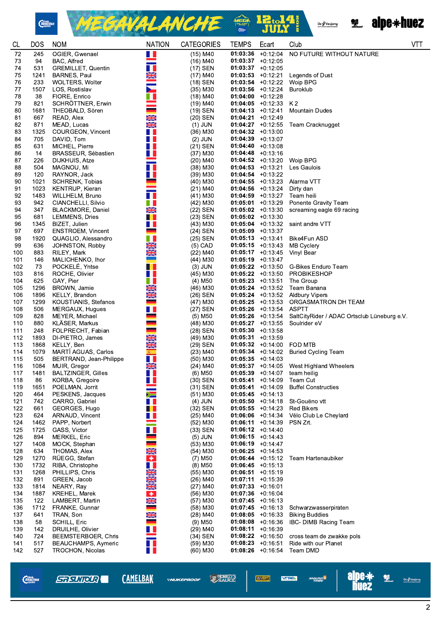

MEGAVALANCHE & 12.14 Oz Vaujany



| <b>CL</b>  | <b>DOS</b>  | <b>NOM</b>                                | <b>NATION</b>                   | <b>CATEGORIES</b>                   | <b>TEMPS</b>         | Ecart                                      | Club                                        | <b>VTT</b> |
|------------|-------------|-------------------------------------------|---------------------------------|-------------------------------------|----------------------|--------------------------------------------|---------------------------------------------|------------|
| 72         | 245         | OGIER, Gwenael                            | M.                              | $(15)$ M40                          |                      | $01:03:36$ +0:12:04                        | NO FUTURE WITHOUT NATURE                    |            |
| 73         | 94          | BAC, Alfred                               | $\equiv$                        | (16) M40                            |                      | $01:03:37 +0:12:05$                        |                                             |            |
| 74         | 531         | <b>GREMILLET, Quentin</b>                 | H.                              | (17) SEN                            |                      | $01:03:37 +0:12:05$                        |                                             |            |
| 75         | 1241        | BARNES, Paul                              | XK                              | $(17)$ M40                          |                      | $01:03:53 +0:12.21$                        | Legends of Dust                             |            |
| 76         | 233         | WOLTERS, Wolter                           |                                 | (18) SEN                            |                      | $01:03:54$ +0:12:22                        | Woip BPG                                    |            |
| 77         | 1507        | LOS, Rostislav                            | $\blacktriangleright$           | $(35)$ M30                          |                      | $01:03:56$ +0:12:24                        | <b>Buroklub</b>                             |            |
| 78         | 38          | FIORE, Enrico                             | W                               | (18) M40                            |                      | $01:04:00$ +0:12:28                        |                                             |            |
| 79         | 821         | SCHRÖTTNER, Erwin                         |                                 | (19) M40                            |                      | $01:04:05$ +0:12:33                        | K2                                          |            |
| 80         | 1681        | THEOBALD, Sören                           |                                 | (19) SEN                            |                      | $01:04:13 + 0:12:41$                       | <b>Mountain Dudes</b>                       |            |
| 81         | 667         | READ, Alex                                | XK                              | (20) SEN                            |                      | $01:04:21 + 0:12:49$                       |                                             |            |
| 82         | 871         | MEAD, Lucas                               | $\frac{N}{2N}$                  | $(1)$ JUN                           |                      | $01:04:27$ +0:12.55                        | Team Cracknugget                            |            |
| 83         | 1325        | COURGEON, Vincent                         | H.                              | $(36)$ M30                          |                      | $01:04:32 +0:13:00$                        |                                             |            |
| 84         | 705         | DAVID, Tom                                | H                               | $(2)$ JUN                           | $01:04:39 +0:13:07$  |                                            |                                             |            |
| 85         | 631         | MICHEL, Pierre                            | H.                              | $(21)$ SEN                          | $01:04:40$ +0:13:08  |                                            |                                             |            |
| 86         | 14          | BRASSEUR, Sébastien                       | H                               | (37) M30                            |                      | $01:04:48$ +0:13:16                        |                                             |            |
| 87         | 226         | DIJKHUIS, Atze                            |                                 | $(20)$ M40                          |                      | $01:04:52$ +0:13:20                        | Woip BPG                                    |            |
| 88         | 504         | MAGNOU, Mi                                | H.                              | (38) M30                            |                      | $01:04:53 +0:13:21$                        | Les Gaulois                                 |            |
| 89         | 120         | RAYNOR, Jack                              | H.                              | $(39)$ M30                          | $01:04:54$ +0:13.22  |                                            |                                             |            |
| 90         | 1021        | SCHRENK, Tobias                           |                                 | $(40)$ M30                          |                      | $01:04:55$ +0:13:23                        | Alarma VTT                                  |            |
| 91         | 1023        | KENTRUP, Kieran                           |                                 | (21) M40                            |                      | $01:04:56$ +0:13:24                        | Dirty dan                                   |            |
| 92         | 1483        | WILLHELM, Bruno                           | H                               | $(41)$ M30                          |                      | $01:04:59 +0:13:27$                        | Team heili                                  |            |
| 93         | 942         | CIANCHELLI, Silvio                        | H                               | (42) M30                            |                      | $01:05:01 +0:13:29$                        | Ponente Gravity Team                        |            |
| 94         | 347         | BLACKMORE, Daniel                         | $\frac{N}{2}$                   | (22) SEN                            |                      | $01:05:02 +0:13:30$                        | screaming eagle 69 racing                   |            |
| 95         | 681         | LEMMENS, Dries                            | . .                             | (23) SEN                            | $01:05:02 +0:13:30$  |                                            |                                             |            |
| 96         | 1345        | BIZET, Julien                             | H                               | (43) M30                            |                      | $01:05:04$ +0:13:32                        | saint andre VTT                             |            |
| 97         | 697         | <b>ENSTROEM, Vincent</b>                  |                                 | (24) SEN                            |                      | $01:05:09$ +0:13:37                        |                                             |            |
| 98         | 1920        | QUAGLIO, Alessandro                       | Ш                               | (25) SEN                            |                      | $01:05:13 + 0:13.41$                       | Bike4Fun ASD                                |            |
| 99         | 636         | JOHNSTON, Robby                           | <b>NEAR</b>                     | $(5)$ CAD                           |                      | $01:05:15 +0:13:43$                        | <b>MB Cyclery</b>                           |            |
| 100        | 883         | RILEY, Mark                               |                                 | $(22)$ M40                          |                      | $01:05:17 +0:13:45$                        | Vinyl Bear                                  |            |
| 101        | 146         | MALICHENKO, Ihor                          | e e                             | $(44)$ M30                          |                      | $01:05:19$ +0:13:47                        |                                             |            |
| 102        | 73          | POCKELE, Yntse                            | H                               | $(3)$ JUN                           |                      |                                            | 01:05:22 +0:13:50 G-Bikes Enduro Team       |            |
| 103        | 816         | ROCHE, Olivier                            | H                               | (45) M30                            |                      | $01:05:22 +0:13:50$                        | PROBIKESHOP                                 |            |
| 104        | 625         | GAY, Pier                                 | H                               | $(4)$ M50                           |                      | $01:05:23 +0:13:51$                        | The Group                                   |            |
| 105        | 1296        | BROWN, Jamie                              | $\frac{N}{N}$                   | (46) M30                            |                      | $01:05:24$ +0:13.52                        | Team Banana                                 |            |
| 106        | 1896        | KELLY, Brandon                            | NK<br>AR                        | (26) SEN                            |                      |                                            | 01:05:24 +0:13:52 Aldbury Vipers            |            |
| 107        | 1299        | KOUSTIANIS, Stefanos                      |                                 | (47) M30                            |                      | $01:05:25$ +0:13:53                        | ORGASMATRON DH TEAM                         |            |
| 108        | 506         | MERGAUX, Hugues                           | . .                             | (27) SEN                            |                      | $01:05:26$ +0:13:54                        | <b>ASPTT</b>                                |            |
| 109        | 828         | MEYER, Michael                            |                                 | $(5)$ M50                           |                      | $01:05:26$ +0:13:54                        | SaltCityRider / ADAC Ortsclub Lüneburg e.V. |            |
| 110        | 880         | KLÄSER, Markus                            | --                              | (48) M30                            |                      | $01:05:27$ +0:13:55                        | Soulrider eV                                |            |
| 111        | 248         | FOLPRECHT, Fabian                         |                                 | (28) SEN                            |                      | $01:05:30 +0:13:58$                        |                                             |            |
| 112        | 1893        | DI-PIETRO, James                          | $\frac{\mathbf{N}}{\mathbf{N}}$ | (49) M30                            |                      | $01:05:31 +0:13:59$                        |                                             |            |
| 113        | 1868        | KELLY, Ben                                | XK                              | (29) SEN                            |                      | $01:05:32 +0:14:00$                        | FOD MTB                                     |            |
| 114        | 1079        | MARTI AGUAS, Carlos                       | 案                               | $(23)$ M40                          |                      | $01:05:34 +0:14:02$                        | <b>Buried Cycling Team</b>                  |            |
| 115        | 505<br>1084 | BERTRAND, Jean-Philippe                   | H<br>X                          | (50) M30                            | $01:05:35 +0:14:03$  |                                            | 01:05:37 +0:14:05 West Highland Wheelers    |            |
| 116        |             | MUIR, Gregor<br><b>BALTZINGER, Gilles</b> |                                 | $(24)$ M40<br>$(6)$ M <sub>50</sub> |                      |                                            |                                             |            |
| 117        | 1481        |                                           | . .<br>N T                      |                                     |                      | $01:05:39$ +0:14:07                        | team heilig                                 |            |
| 118<br>119 | 86<br>1651  | KORBA, Gregoire                           |                                 | (30) SEN<br>(31) SEN                |                      | $01:05:41 +0:14:09$<br>$01:05:41 +0:14:09$ | Team Cut<br><b>Buffel Constructies</b>      |            |
|            | 464         | POELMAN, Jorrit<br>PESKENS, Jacques       | $\geq$                          | $(51)$ M30                          | $01:05:45 +0:14:13$  |                                            |                                             |            |
| 120<br>121 | 742         | CARRO, Gabriel                            | H                               | $(4)$ JUN                           |                      | $01:05:50$ +0:14.18                        | St-Gouëno vtt                               |            |
| 122        | 661         | GEORGES, Hugo                             | H                               | (32) SEN                            |                      | $01:05:55 +0:14:23$                        | <b>Red Bikers</b>                           |            |
| 123        | 624         | ARNAUD, Vincent                           | Ш                               | $(25)$ M40                          |                      | $01:06:06$ +0:14:34                        | Vélo Club Le Cheylard                       |            |
| 124        | 1462        | PAPP, Norbert                             |                                 | (52) M30                            |                      | $01:06:11 + 0:14:39$                       | PSN Zrt.                                    |            |
| 125        | 1725        | GASS, Victor                              | Ш                               | (33) SEN                            |                      | $01:06:12 +0:14:40$                        |                                             |            |
| 126        | 894         | MERKEL, Eric                              |                                 | $(5)$ JUN                           | $01:06:15 +0:14:43$  |                                            |                                             |            |
| 127        | 1408        | MOCK, Stephan                             |                                 | $(53)$ M30                          |                      | $01:06:19 + 0:14:47$                       |                                             |            |
| 128        | 634         | THOMAS, Alex                              | XK                              | $(54)$ M30                          | $01:06:25 +0:14:53$  |                                            |                                             |            |
| 129        | 1270        | RÜEGG, Stefan                             | $\bullet$                       | $(7)$ M <sub>50</sub>               |                      | $01:06:44 +0:15:12$                        | Team Hartenaubiker                          |            |
| 130        | 1732        | RIBA, Christophe                          | H                               | $(8)$ M50                           |                      | $01:06:45 +0:15:13$                        |                                             |            |
| 131        | 1268        | PHILLIPS, Chris                           |                                 | $(55)$ M30                          | $01:06:51 + 0:15:19$ |                                            |                                             |            |
| 132        | 891         | GREEN, Jacob                              | <b>REAR AND</b>                 | $(26)$ M40                          |                      | $01:07:11 + 0:15:39$                       |                                             |            |
| 133        | 1814        | NEARY, Ray                                |                                 | $(27)$ M40                          | $01:07:33 +0:16:01$  |                                            |                                             |            |
| 134        | 1887        | <b>KREHEL, Marek</b>                      | $\bullet$                       | $(56)$ M30                          | $01:07:36$ +0:16:04  |                                            |                                             |            |
| 135        | 122         | LAMBERT, Martin                           | XK                              | $(57)$ M30                          |                      | $01:07:45$ +0:16:13                        |                                             |            |
| 136        | 1712        | FRANKE, Gunnar                            |                                 | $(58)$ M30                          |                      | $01:07:45$ +0:16:13                        | Schwarzwasserpiraten                        |            |
| 137        | 641         | TRAN, Son                                 |                                 | $(28)$ M40                          |                      | $01:08:05$ +0:16:33                        | <b>Biking Buddies</b>                       |            |
| 138        | 58          | SCHILL, Eric                              | NK<br>NK                        | $(9)$ M <sub>50</sub>               |                      | $01:08:08$ +0:16:36                        | IBC- DIMB Racing Team                       |            |
| 139        | 142         | DRUILHE, Olivier                          | Ш                               | $(29)$ M40                          | $01:08:11 + 0:16:39$ |                                            |                                             |            |
| 140        | 724         | BEEMSTERBOER, Chris                       |                                 | (34) SEN                            |                      | $01:08:22 +0:16:50$                        | cross team de zwakke pols                   |            |
| 141        | 517         | BEAUCHAMPS, Aymeric                       | H T                             | $(59)$ M30                          |                      | $01:08:23 +0:16:51$                        | Ride with our Planet                        |            |
| 142        | 527         | <b>TROCHON, Nicolas</b>                   | H.                              | $(60)$ M30                          |                      | $01:08:26$ +0:16:54                        | Team DMD                                    |            |
|            |             |                                           |                                 |                                     |                      |                                            |                                             |            |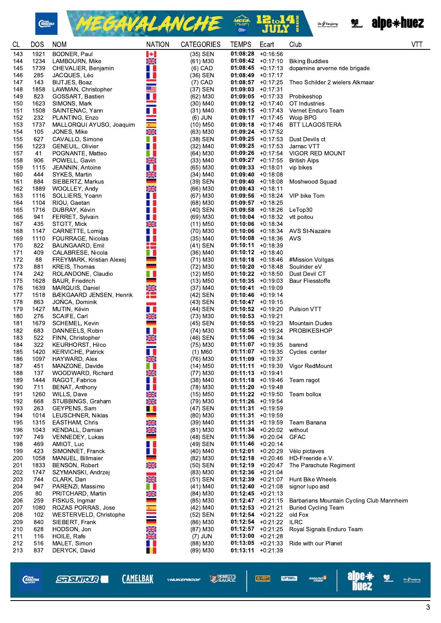

MEGAVALANCHE  $\begin{array}{c} \textbf{12:}\hspace{-0.7cm}\textbf{14!} \\ \textbf{JUIY} \end{array}$ MEGR<br>Thur





| <b>CL</b>  | <b>DOS</b>   | <b>NOM</b>                                   | <b>NATION</b>                   | <b>CATEGORIES</b>        | <b>TEMPS</b>                               | Ecart                | Club                                      | VTT |
|------------|--------------|----------------------------------------------|---------------------------------|--------------------------|--------------------------------------------|----------------------|-------------------------------------------|-----|
| 143        | 1921         | BODNER, Paul                                 | $\blacktriangleright$           | $(35)$ SEN               | 01:08:28                                   | $+0:16:56$           |                                           |     |
| 144        | 1234         | LAMBOURN, Mike                               | <b>SK</b>                       | (61) M30                 | $01:08:42 +0:17:10$                        |                      | <b>Biking Buddies</b>                     |     |
| 145        | 1739         | CHEVALIER, Benjamin                          | H                               | $(6)$ CAD                | $01:08:45 +0:17:13$                        |                      | dopamine arverne ride brigade             |     |
| 146<br>147 | 285<br>143   | JACQUES, Léo<br>BIJTJES, Boaz                | H I                             | (36) SEN<br>$(7)$ CAD    | $01:08:49 +0:17:17$<br>$01:08:57$ +0:17:25 |                      | Theo Schilder 2 wielers Alkmaar           |     |
| 148        | 1858         | LAWMAN, Christopher                          | ▓▆                              | (37) SEN                 | $01:09:03 +0:17:31$                        |                      |                                           |     |
| 149        | 823          | GOSSART, Bastien                             | H I                             | (62) M30                 | $01:09:05$ +0:17:33                        |                      | Probikeshop                               |     |
| 150        | 1623         | SIMONS, Mark                                 |                                 | (30) M40                 | $01:09:12 +0:17:40$                        |                      | OT Industries                             |     |
| 151        | 1508         | SAINTENAC, Yann                              | H                               | (31) M40                 | $01:09:15$ +0:17.43                        |                      | Vernet Enduro Team                        |     |
| 152        | 232          | PLANTING, Enzo                               | $\frac{1}{\Re}$                 | $(6)$ JUN                |                                            | $01:09:17 + 0:17:45$ | Woip BPG                                  |     |
| 153        | 1737         | MALLORQUI AYUSO, Joaquim                     |                                 | $(10)$ M50               |                                            | $01:09:18$ +0:17.46  | BTT LLAGOSTERA                            |     |
| 154        | 105          | JONES, Mike                                  | $\frac{\mathbf{N}}{\mathbf{N}}$ | (63) M30                 | $01:09:24 +0:17:52$                        |                      |                                           |     |
| 155<br>156 | 627<br>1223  | CAVALLO, Simone<br>GENEUIL, Olivier          | Ш.<br>H I                       | $(38)$ SEN<br>(32) M40   | $01:09:25 +0:17:53$<br>$01:09:25 +0:17:53$ |                      | Dust Devils ct<br>Jarnac VTT              |     |
| 157        | 41           | POGNANTE, Matteo                             | u.                              | (64) M30                 |                                            | $01:09:26$ +0:17:54  | VIGOR RED MOUNT                           |     |
| 158        | 906          | POWELL, Gavin                                | X                               | (33) M40                 | $01:09:27$ +0:17:55                        |                      | <b>British Alps</b>                       |     |
| 159        | 1115         | JEANNIN, Antoine                             | H.                              | (65) M30                 | $01:09:33 +0:18:01$                        |                      | vip bikes                                 |     |
| 160        | 444          | SYKES, Martin                                | $\frac{N}{N}$                   | (34) M40                 | $01:09:40 +0:18.08$                        |                      |                                           |     |
| 161        | 884          | SIEBERTZ, Markus                             | $\overline{\phantom{0}}$        | (39) SEN                 | $01:09:40 +0:18:08$                        |                      | Moshwood Squad                            |     |
| 162        | 1889         | WOOLLEY, Andy                                | $\frac{\text{N}}{\text{N}}$     | (66) M30                 | $01:09:43 +0:18:11$                        |                      |                                           |     |
| 163        | 1116         | SOLLIERS, Yoann                              | n a                             | (67) M30                 | $01:09:56$ +0:18:24                        |                      | VIP bike Tom                              |     |
| 164        | 1104<br>1716 | RIOU, Gaetan                                 | Ш                               | $(68)$ M30               | $01:09:57$ +0:18:25                        |                      |                                           |     |
| 165<br>166 | 941          | DUBRAY, Kévin<br>FERRET, Sylvain             | W<br>H                          | (40) SEN<br>(69) M30     | $01:09:58$ +0:18:26<br>$01:10:04$ +0:18:32 |                      | LeTop30<br>vtt poitou                     |     |
| 167        | 435          | STOTT, Mick                                  | XK                              | (11) M50                 | $01:10:06$ +0:18:34                        |                      |                                           |     |
| 168        | 1147         | CARNETTE, Lomig                              | Ш                               | (70) M30                 | $01:10:06$ +0:18:34                        |                      | AVS St-Nazaire                            |     |
| 169        | 1110         | FOURRAGE, Nicolas                            | H I                             | $(35)$ M40               | $01:10:08$ +0:18.36                        |                      | AVS                                       |     |
| 170        | 822          | BAUNGAARD, Emil                              | 22                              | (41) SEN                 | $01:10:11 + 0:18:39$                       |                      |                                           |     |
| 171        | 409          | CALABRESE, Nicola                            | n n                             | (36) M40                 | $01:10:12 +0:18:40$                        |                      |                                           |     |
| 172        | 88           | FREYMARK, Kristian Alexej                    |                                 | (71) M30                 | $01:10:18$ +0:18:46                        |                      | #Mission Vollgas                          |     |
| 173        | 881<br>242   | KREIS, Thomas                                | $\equiv$<br>n II                | $(72)$ M30               | $01:10:20$ +0:18:48                        |                      | Soulrider eV                              |     |
| 174<br>175 | 1628         | ROLANDONE, Claudio<br><b>BAUR, Friedrich</b> | an di                           | (12) M50<br>(13) M50     | $01:10:22 +0:18:50$<br>$01:10:35$ +0:19:03 |                      | Dust Devil CT<br><b>Baur Fliesstoffe</b>  |     |
| 176        | 1639         | MARQUIS, Daniel                              | NK<br>AR                        | (37) M40                 | $01:10:41 + 0:19:09$                       |                      |                                           |     |
| 177        | 1518         | BÆKGAARD JENSEN, Henrik                      | H                               | (42) SEN                 | $01:10:46$ +0:19:14                        |                      |                                           |     |
| 178        | 863          | JONCA Dominik                                |                                 | (43) SEN                 | $01:10:47$ +0:19:15                        |                      |                                           |     |
| 179        | 1427         | MUTIN, Kévin                                 | Ш                               | (44) SEN                 | $01:10:52$ +0:19:20                        |                      | Pulsion VTT                               |     |
| 180        | 276          | SCAIFE, Carl                                 | XK<br>-                         | (73) M30                 | $01:10:53 + 0:19:21$                       |                      |                                           |     |
| 181        | 1679         | SCHEMEL, Kevin                               |                                 | (45) SEN                 | $01:10:55$ +0:19:23                        |                      | Mountain Dudes                            |     |
| 182<br>183 | 683<br>522   | DANNEELS, Robin<br>FINN, Christopher         | . .<br>X                        | (74) M30<br>(46) SEN     | $01:10:56$ +0:19:24<br>$01:11:06$ +0:19 34 |                      | <b>PROBIKESHOP</b>                        |     |
| 184        | 322          | <b>KEURHORST, Hilco</b>                      |                                 | $(75)$ M30               | $01:11:07$ +0:19:35                        |                      | barend                                    |     |
| 185        | 1420         | <b>KERVICHE, Patrick</b>                     | a k                             | (1) M60                  |                                            | $01:11:07$ +0:19:35  | Cycles center                             |     |
| 186        | 1097         | HAYWARD, Alex                                | XK                              | (76) M30                 | $01:11:09$ +0:19:37                        |                      |                                           |     |
| 187        | 451          | MANZONE, Davide                              | Ш                               | $(14)$ M <sub>50</sub>   |                                            |                      | 01:11:11 +0:19:39 Vigor RedMount          |     |
| 188        | 137          | WOODWARD, Richard                            | X                               | (77) M30                 | $01:11:13 + 0:19:41$                       |                      |                                           |     |
| 189        | 1444         | RAGOT, Fabrice                               | . .                             | (38) M40                 | $01:11:18$ +0:19:46                        |                      | Team ragot                                |     |
| 190<br>191 | 711<br>1260  | BENAT, Anthony<br>WILLS, Dave                | n a<br>XK                       | $(78)$ M30<br>$(15)$ M50 | $01:11:20 +0:19.48$<br>$01:11:22 +0:19:50$ |                      | Team bollox                               |     |
| 192        | 668          | STUBBINGS, Graham                            | $\frac{1}{2}$                   | (79) M30                 | $01:11:26$ +0:19:54                        |                      |                                           |     |
| 193        | 263          | GEYPENS, Sam                                 | Ш                               | (47) SEN                 | $01:11:31 + 0:19:59$                       |                      |                                           |     |
| 194        | 1014         | LEUSCHNER, Niklas                            |                                 | $(80)$ M30               | $01:11:31 + 0:19:59$                       |                      |                                           |     |
| 195        | 1315         | <b>EASTHAM, Chris</b>                        | <b>NKNK</b>                     | $(39)$ M40               | $01:11:31 + 0:19:59$                       |                      | Team Banana                               |     |
| 196        | 1043         | KENDALL, Damian                              |                                 | $(81)$ M30               | $01:11:34 +0:20:02$                        |                      | without                                   |     |
| 197        | 749          | VENNEDEY, Lukas                              | -                               | (48) SEN                 | $01:11:36$ +0:20:04                        |                      | <b>GFAC</b>                               |     |
| 198<br>199 | 469<br>423   | AMIOT, Luc<br>SIMONNET, Franck               | . .<br>. .                      | (49) SEN<br>$(40)$ M40   | $01:11:46$ +0:20:14<br>$01:12:01$ +0:20:29 |                      | Vélo pictaves                             |     |
| 200        | 1058         | MANUEL, Billmaier                            |                                 | $(82)$ M30               | $01:12:18$ +0:20:46                        |                      | HD-Freeride e.V.                          |     |
| 201        | 1833         | <b>BENSON, Robert</b>                        | $\frac{N}{2N}$                  | (50) SEN                 | $01:12:19 + 0:20:47$                       |                      | The Parachute Regiment                    |     |
| 202        | 1747         | SZYMANSKI, Andrzej                           |                                 | $(83)$ M30               | $01:12:36$ +0:21:04                        |                      |                                           |     |
| 203        | 744          | CLARK, Dan                                   | $\frac{\mathbf{N}}{\mathbf{N}}$ | (51) SEN                 | $01:12:39 +0:21:07$                        |                      | <b>Hunt Bike Wheels</b>                   |     |
| 204        | 947          | PARENZI, Massimo                             |                                 | $(41)$ M40               | $01:12:40 +0:21:08$                        |                      | signor lupo asd                           |     |
| 205        | 80           | PRITCHARD, Martin                            | $\frac{N}{N}$                   | $(84)$ M30               | $01:12:45 +0:21:13$                        |                      |                                           |     |
| 206        | 259          | FISKUS, Ingmar                               |                                 | (85) M30                 | $01:12:47 +0:21:15$                        |                      | Barbarians Mountain Cycling Club Mannheim |     |
| 207<br>208 | 1080<br>102  | ROZAS PORRAS, Jose<br>WESTERVELD, Christophe | $\frac{1}{\sqrt{2}}$            | $(42)$ M40<br>(52) SEN   | $01:12:53 +0:21:21$<br>$01:12:54$ +0:21:22 |                      | <b>Buried Cycling Team</b><br>old Fox     |     |
| 209        | 840          | SIEBERT, Frank                               |                                 | $(86)$ M30               | $01:12:54$ +0:21:22                        |                      | <b>ILRC</b>                               |     |
| 210        | 628          | HODSON, Jon                                  |                                 | $(87)$ M30               | $01:12:57 +0:21:25$                        |                      | Royal Signals Enduro Team                 |     |
| 211        | 116          | HOILE, Rafe                                  | <b>NKAK</b>                     | $(7)$ JUN                | $01:13:00$ +0:21:28                        |                      |                                           |     |
| 212        | 516          | MALET, Simon                                 | H.                              | $(88)$ M30               | $01:13:05 +0:21:33$                        |                      | Ride with our Planet                      |     |
| 213        | 837          | DERYCK, David                                | . .                             | $(89)$ M30               | $01:13:11 + 0:21:39$                       |                      |                                           |     |
|            |              |                                              |                                 |                          |                                            |                      |                                           |     |

**alpe\***<br>huez  $\frac{1}{\sqrt{\frac{1}{2}}\sqrt{\frac{1}{2}}}}$  0z $\sqrt{\frac{1}{2}}\sqrt{\frac{1}{2}}$ **CAMELBAK SAUCE** *Chain*<br>*Reaction* **STRUIRE VEOVERT! VTTAEA** angung <sup>is</sup> \*NUKEPROOF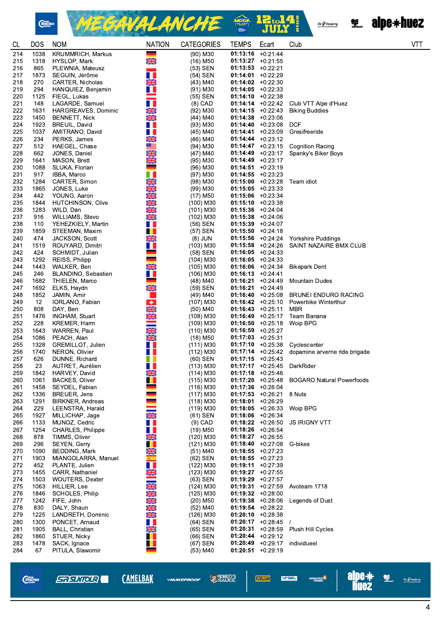

MEGAVALANCHE <sup>2 12.14</sup>

**Reduction of the Second Street Second Street Second Street Second Street Second Street Second Street Second Street Second Street Second Street Second Street Second Street Second Street Second Street Second Street Second S** 

| CL         | <b>DOS</b>   | <b>NOM</b>                                  | <b>NATION</b>                   | <b>CATEGORIES</b>          | <b>TEMPS</b>         | Ecart                                        | Club                                                | VT |
|------------|--------------|---------------------------------------------|---------------------------------|----------------------------|----------------------|----------------------------------------------|-----------------------------------------------------|----|
| 214        | 1038         | <b>KRUMMRICH, Markus</b>                    | ÷                               | (90) M30                   | $01:13:16$ +0:21:44  |                                              |                                                     |    |
| 215        | 1318         | HYSLOP, Mark                                | XK                              | (16) M50                   |                      | $01:13:27 +0:21.55$                          |                                                     |    |
| 216        | 865          | PLEWNIA, Mateusz                            |                                 | (53) SEN                   | $01:13:53 + 0:22:21$ |                                              |                                                     |    |
| 217        | 1873         | SEGUIN, Jérôme                              | H I                             | (54) SEN                   | $01:14:01$ +0:22.29  |                                              |                                                     |    |
| 218        | 270          | CARTER, Nicholas                            | X                               | (43) M40                   | $01:14:02 + 0:22:30$ |                                              |                                                     |    |
| 219        | 294          | HANQUIEZ, Benjamin                          | H.                              | $(91)$ M30                 |                      | $01:14:05$ +0:22:33                          |                                                     |    |
| 220        | 1125         | FIEGL, Lukas                                |                                 | (55) SEN                   |                      | $01:14:10 + 0:22:38$                         |                                                     |    |
| 221        | 148          | LAGARDE, Samuel                             | П                               | $(8)$ CAD                  |                      | $01:14:14 + 0:22:42$                         | Club VTT Alpe d'Huez                                |    |
| 222<br>223 | 1631<br>1450 | HARGREAVES, Dominic<br><b>BENNETT, Nick</b> | $\frac{1}{2}$<br>$\frac{N}{2}$  | (92) M30<br>$(44)$ M40     |                      | $01:14:15 + 0:22:43$<br>$01:14:38 + 0:23:06$ | <b>Biking Buddies</b>                               |    |
| 224        | 1923         | BREUIL, David                               | H.                              | $(93)$ M30                 |                      | $01:14:40 + 0:23:08$                         | <b>DCF</b>                                          |    |
| 225        | 1037         | AMITRANO, David                             | H I                             | (45) M40                   |                      | $01:14:41 + 0:23:09$                         | Gresifreeride                                       |    |
| 226        | 234          | PERKS, James                                |                                 | (46) M40                   |                      | $01:14:44 + 0:23:12$                         |                                                     |    |
| 227        | 512          | HAEGEL, Chase                               | NK<br>NK                        | (94) M30                   |                      | $01:14:47 + 0:23:15$                         | <b>Cognition Racing</b>                             |    |
| 228        | 662          | JONES, Daniel                               | $\frac{\mathbf{N}}{\mathbf{Z}}$ | $(47)$ M40                 |                      | $01:14:49 + 0:23:17$                         | Spanky's Biker Boys                                 |    |
| 229        | 1641         | MASON, Brett                                | $\frac{\sqrt{2}}{2}$            | (95) M30                   | $01:14:49 + 0:23:17$ |                                              |                                                     |    |
| 230        | 1088         | SLUKA, Florian                              |                                 | (96) M30                   |                      | $01:14:51 + 0:23:19$                         |                                                     |    |
| 231        | 917          | IBBA, Marco                                 | H.                              | (97) M30                   |                      | $01:14:55 + 0:23.23$                         |                                                     |    |
| 232        | 1284         | CARTER, Simon                               | <b>RENE</b>                     | (98) M30                   |                      | $01:15:00 +0:23:28$                          | Team idiot                                          |    |
| 233        | 1865         | JONES, Luke                                 |                                 | $(99)$ M30                 | $01:15:05 +0:23:33$  |                                              |                                                     |    |
| 234        | 442          | YOUNG, Aaron                                | NKARI                           | (17) M50                   |                      | $01:15:06$ +0:23:34                          |                                                     |    |
| 235<br>236 | 1844<br>1283 | <b>HUTCHINSON, Clive</b>                    |                                 | (100) M30                  | $01:15:10 + 0:23:38$ | $01:15:36$ +0:24:04                          |                                                     |    |
| 237        | 916          | WILD, Dan<br>WILLIAMS, Stevo                | <b>NKNK</b>                     | (101) M30<br>(102) M30     | $01:15:38 + 0:24:06$ |                                              |                                                     |    |
| 238        | 110          | YEHEZKIELY, Martin                          | H.                              | (56) SEN                   | $01:15:39 + 0:24:07$ |                                              |                                                     |    |
| 239        | 1859         | STEEMAN, Maxim                              | . .                             | (57) SEN                   | $01:15:50 + 0:24:18$ |                                              |                                                     |    |
| 240        | 474          | <b>JACKSON, Scott</b>                       | XK                              | $(8)$ JUN                  |                      | $01:15:56$ +0:24.24                          | Yorkshire Puddings                                  |    |
| 241        | 1519         | ROUYARD, Dimitri                            | H I                             | $(103)$ M30                |                      | $01:15:58$ +0:24:26                          | SAINT NAZAIRE BMX CLUB                              |    |
| 242        | 424          | SCHMIDT, Julian                             | ٠                               | (58) SEN                   |                      | $01:16:05 +0:24:33$                          |                                                     |    |
| 243        | 1292         | REISS, Philipp                              | ۰                               | (104) M30                  |                      | $01:16:05 +0:24:33$                          |                                                     |    |
| 244        | 1443         | WALKER, Ben                                 | XK                              | $(105)$ M30                |                      | $01:16:06$ +0:24:34                          | <b>Bikepark Dent</b>                                |    |
| 245        | 246          | BLANDINO, Sebastien                         | W                               | (106) M30                  | $01:16:13 + 0:24:41$ |                                              |                                                     |    |
| 246        | 1682         | THIELEN, Marco                              |                                 | (48) M40                   |                      | $01:16:21 + 0:24:49$                         | Mountain Dudes                                      |    |
| 247        | 1692         | ELKS, Haydn                                 | XK                              | (59) SEN                   | 01:16:21             | $+0.24.49$                                   |                                                     |    |
| 248<br>249 | 1852<br>12   | JAMIN, Amir<br>IORLANO, Fabian              | $\bullet$                       | (49) M40<br>(107) M30      |                      | $01:16:40 + 0:25:08$<br>$01:16:42 +0:25:10$  | <b>BRUNEI ENDURO RACING</b><br>Powerbike Winterthur |    |
| 250        | 808          | DAY, Ben                                    |                                 | (50) M40                   |                      | $01:16:43 +0:25:11$                          | MBR                                                 |    |
| 251        | 1476         | INGHAM, Stuart                              | <b>NAME</b>                     | (108) M30                  |                      | $01:16:49 +0:25:17$                          | Team Banana                                         |    |
| 252        | 228          | KREMER, Harm                                |                                 | (109) M30                  |                      | $01:16:50 +0:25:18$                          | Woip BPG                                            |    |
| 253        | 1643         | WARREN, Paul                                | <b>NK</b>                       | (110) M30                  | $01:16:59 + 0:25:27$ |                                              |                                                     |    |
| 254        | 1086         | PEACH, Alan                                 | $\frac{N}{N}$                   | $(18)$ M50                 | $01:17:03$ +0:25:31  |                                              |                                                     |    |
| 255        | 1328         | GREMILLOT, Julien                           | H.                              | $(111)$ M30                |                      | $01:17:10 + 0:25:38$                         | Cyclescenter                                        |    |
| 256        | 1740         | NERON, Olivier                              | u                               | (112) M30                  |                      | $01:17:14$ +0:25.42                          | dopamine arverne ride brigade                       |    |
| 257        | 626<br>23    | DUNNE, Richard                              | w                               | $(60)$ SEN                 | $01:17:15 + 0:25:43$ |                                              |                                                     |    |
| 258<br>259 | 1842         | AUTRET, Aurélien<br>HARVEY, David           | H.<br>$\frac{N}{N}$             | $(113)$ M30<br>$(114)$ M30 | $01:17:18$ +0:25:46  |                                              | 01:17:17 +0:25:45 DarkRider                         |    |
| 260        | 1061         | <b>BACKES, Oliver</b>                       | H.                              | $(115)$ M30                |                      | $01:17:20 +0:25:48$                          | <b>BOGARO Natural Powerfoods</b>                    |    |
| 261        | 1458         | SEYDEL, Fabian                              |                                 | $(116)$ M30                |                      | $01:17:36$ +0:26:04                          |                                                     |    |
| 262        | 1336         | BREUER, Jens                                |                                 | $(117)$ M30                |                      | $01:17:53 + 0:26:21$                         | 8 Nuts                                              |    |
| 263        | 1291         | <b>BIRKNER, Andreas</b>                     |                                 | (118) M30                  |                      | $01:18:01 + 0:26:29$                         |                                                     |    |
| 264        | 229          | LEENSTRA, Harald                            |                                 | $(119)$ M30                |                      | $01:18:05 +0:26:33$                          | Woip BPG                                            |    |
| 265        | 1927         | MILLICHAP, Jage                             | $\frac{N}{2}$                   | $(61)$ SEN                 | $01:18:06$ +0:26:34  |                                              |                                                     |    |
| 266        | 1133         | MUNOZ, Cedric                               | H.                              | $(9)$ CAD                  |                      | $01:18:22 +0:26:50$                          | JS IRIGNY VTT                                       |    |
| 267        | 1254         | CHARLES, Philippe                           | N H                             | $(19)$ M50                 | $01:18:26$ +0:26:54  |                                              |                                                     |    |
| 268        | 878          | TIMMS, Oliver                               | $\frac{N}{N}$                   | (120) M30                  |                      | $01:18:27 +0:26:55$                          |                                                     |    |
| 269<br>270 | 296<br>1090  | SEYEN, Gerry<br><b>BEDDING, Mark</b>        | п.                              | $(121)$ M30<br>$(51)$ M40  | $01:18:55 + 0:27:23$ | $01:18:40 + 0:27:08$                         | G-bikes                                             |    |
| 271        | 1903         | MIANGOLARRA, Manuel                         | XK<br>$\mathcal{R}^{\pm}$       | (62) SEN                   | $01:18:55 + 0:27:23$ |                                              |                                                     |    |
| 272        | 452          | PLANTE, Julien                              | n l                             | $(122)$ M30                |                      | $01:19:11 + 0:27:39$                         |                                                     |    |
| 273        | 1455         | CARR, Nathaniel                             |                                 | $(123)$ M30                |                      | $01:19:27 + 0:27:55$                         |                                                     |    |
| 274        | 1503         | <b>WOUTERS, Dexter</b>                      | <b>NK</b>                       | $(63)$ SEN                 |                      | $01:19:29 +0:27:57$                          |                                                     |    |
| 275        | 1063         | HILLIER, Lee                                | <b>REARES</b>                   | (124) M30                  |                      | $01:19:31 + 0:27:59$                         | Avoteam 1718                                        |    |
| 276        | 1846         | <b>SCHOLES, Philip</b>                      |                                 | (125) M30                  |                      | $01:19:32 + 0:28:00$                         |                                                     |    |
| 277        | 1242         | FIFE, John                                  |                                 | $(20)$ M50                 |                      | $01:19:38$ +0:28:06                          | Legends of Dust                                     |    |
| 278        | 830          | DALY, Shaun                                 | <b>NEAR</b>                     | $(52)$ M40                 |                      | $01:19:54$ +0:28:22                          |                                                     |    |
| 279        | 1225         | LANDRETH, Dominic                           |                                 | (126) M30                  |                      | $01:20:10 + 0:28:38$                         |                                                     |    |
| 280        | 1300         | PONCET, Arnaud                              | H.                              | (64) SEN                   |                      | $01:20:17$ +0:28:45                          |                                                     |    |
| 281<br>282 | 1905<br>1860 | <b>BALL, Christian</b><br>STUER, Nicky      | $\frac{N}{2N}$<br>. .           | $(65)$ SEN                 |                      | $01:20:31 + 0:28:59$<br>$01:20:44$ +0:29:12  | Plush Hill Cycles                                   |    |
| 283        | 1478         | SACK, Ignace                                | . .                             | (66) SEN<br>(67) SEN       |                      | $01:20:49$ +0:29:17                          | individueel                                         |    |
| 284        | 67           | PITULA, Slawomir                            |                                 | (53) M40                   |                      | $01:20:51$ +0:29:19                          |                                                     |    |
|            |              |                                             |                                 |                            |                      |                                              |                                                     |    |

**\*NUKEPROOF** 

**CAMELBAK** 

**SAUCE** VELOVERTI

Borghe